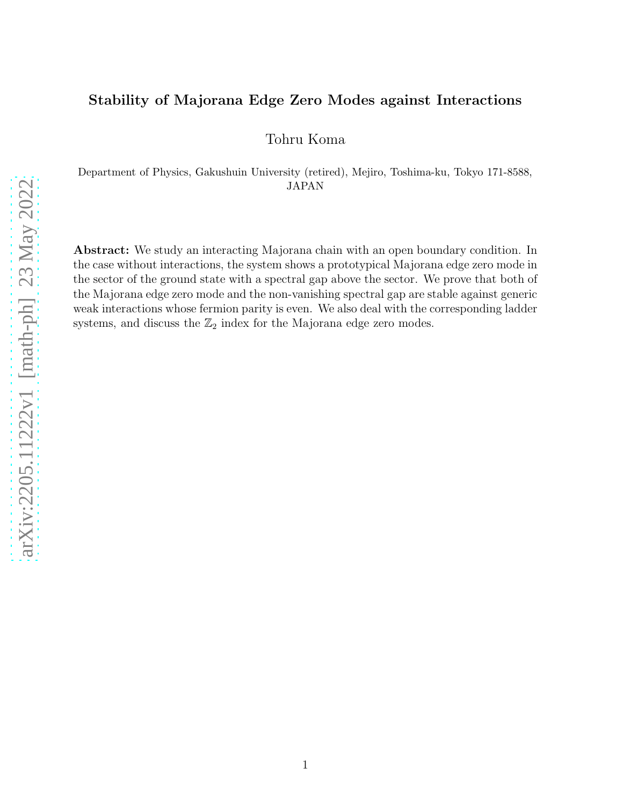#### Stability of Majorana Edge Zero Modes against Interactions

Tohru Koma

Department of Physics, Gakushuin University (retired), Mejiro, Toshima-ku, Tokyo 171-8588, JAPAN

Abstract: We study an interacting Majorana chain with an open boundary condition. In the case without interactions, the system shows a prototypical Majorana edge zero mode in the sector of the ground state with a spectral gap above the sector. We prove that both of the Majorana edge zero mode and the non-vanishing spectral gap are stable against generic weak interactions whose fermion parity is even. We also deal with the corresponding ladder systems, and discuss the  $\mathbb{Z}_2$  index for the Majorana edge zero modes.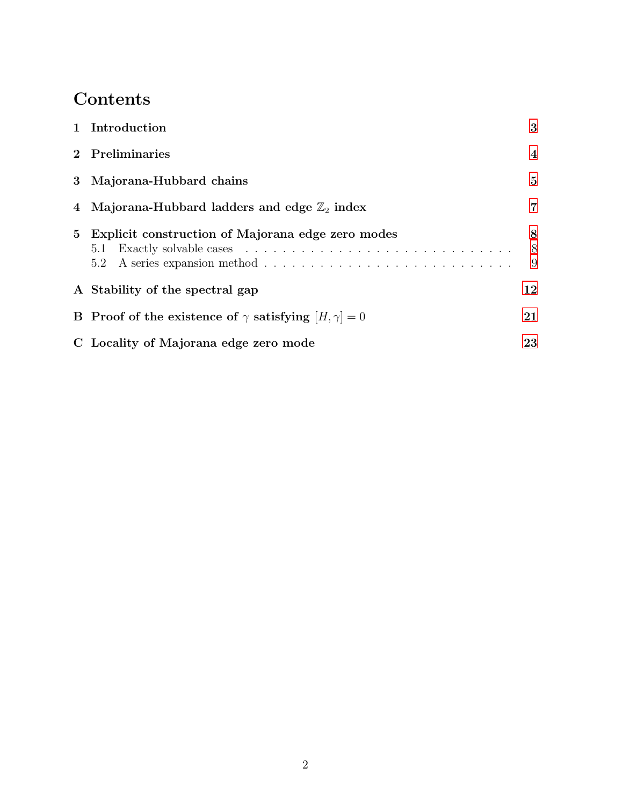# Contents

|             | 1 Introduction                                                           | 3              |
|-------------|--------------------------------------------------------------------------|----------------|
|             | 2 Preliminaries                                                          | $\overline{4}$ |
|             | 3 Majorana-Hubbard chains                                                | 5              |
|             | 4 Majorana-Hubbard ladders and edge $\mathbb{Z}_2$ index                 | 7              |
| $5^{\circ}$ | Explicit construction of Majorana edge zero modes                        | 8<br>8<br>9    |
|             | A Stability of the spectral gap                                          | 12             |
|             | <b>B</b> Proof of the existence of $\gamma$ satisfying $[H, \gamma] = 0$ | 21             |
|             | C Locality of Majorana edge zero mode                                    | 23             |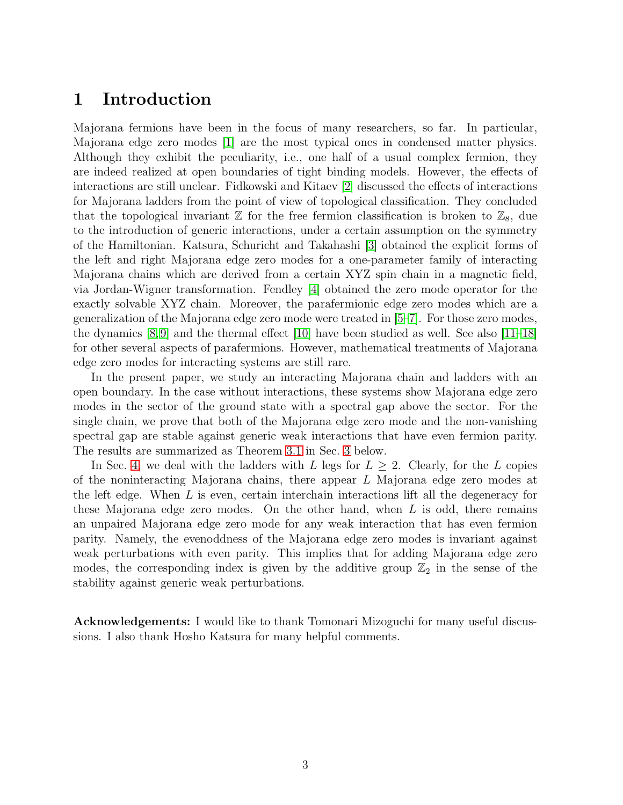### <span id="page-2-0"></span>1 Introduction

Majorana fermions have been in the focus of many researchers, so far. In particular, Majorana edge zero modes [\[1\]](#page-24-0) are the most typical ones in condensed matter physics. Although they exhibit the peculiarity, i.e., one half of a usual complex fermion, they are indeed realized at open boundaries of tight binding models. However, the effects of interactions are still unclear. Fidkowski and Kitaev [\[2\]](#page-24-1) discussed the effects of interactions for Majorana ladders from the point of view of topological classification. They concluded that the topological invariant  $\mathbb Z$  for the free fermion classification is broken to  $\mathbb Z_8$ , due to the introduction of generic interactions, under a certain assumption on the symmetry of the Hamiltonian. Katsura, Schuricht and Takahashi [\[3\]](#page-24-2) obtained the explicit forms of the left and right Majorana edge zero modes for a one-parameter family of interacting Majorana chains which are derived from a certain XYZ spin chain in a magnetic field, via Jordan-Wigner transformation. Fendley [\[4\]](#page-24-3) obtained the zero mode operator for the exactly solvable XYZ chain. Moreover, the parafermionic edge zero modes which are a generalization of the Majorana edge zero mode were treated in [\[5](#page-24-4)[–7\]](#page-24-5). For those zero modes, the dynamics  $[8,9]$  $[8,9]$  and the thermal effect  $[10]$  have been studied as well. See also  $[11-18]$ for other several aspects of parafermions. However, mathematical treatments of Majorana edge zero modes for interacting systems are still rare.

In the present paper, we study an interacting Majorana chain and ladders with an open boundary. In the case without interactions, these systems show Majorana edge zero modes in the sector of the ground state with a spectral gap above the sector. For the single chain, we prove that both of the Majorana edge zero mode and the non-vanishing spectral gap are stable against generic weak interactions that have even fermion parity. The results are summarized as Theorem [3.1](#page-5-0) in Sec. [3](#page-4-0) below.

In Sec. [4,](#page-6-0) we deal with the ladders with L legs for  $L \geq 2$ . Clearly, for the L copies of the noninteracting Majorana chains, there appear L Majorana edge zero modes at the left edge. When  $L$  is even, certain interchain interactions lift all the degeneracy for these Majorana edge zero modes. On the other hand, when  $L$  is odd, there remains an unpaired Majorana edge zero mode for any weak interaction that has even fermion parity. Namely, the evenoddness of the Majorana edge zero modes is invariant against weak perturbations with even parity. This implies that for adding Majorana edge zero modes, the corresponding index is given by the additive group  $\mathbb{Z}_2$  in the sense of the stability against generic weak perturbations.

Acknowledgements: I would like to thank Tomonari Mizoguchi for many useful discussions. I also thank Hosho Katsura for many helpful comments.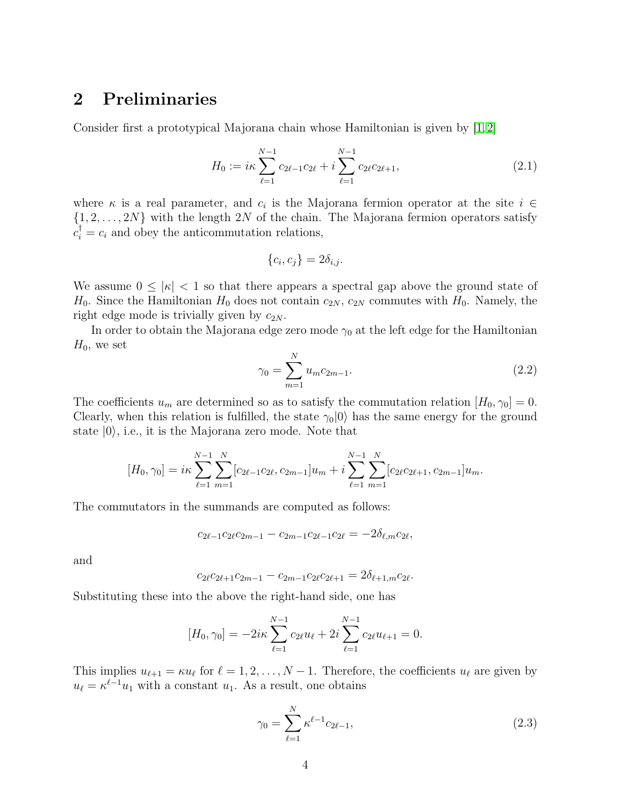### <span id="page-3-0"></span>2 Preliminaries

Consider first a prototypical Majorana chain whose Hamiltonian is given by [\[1,](#page-24-0) [2\]](#page-24-1)

<span id="page-3-1"></span>
$$
H_0 := i\kappa \sum_{\ell=1}^{N-1} c_{2\ell-1} c_{2\ell} + i \sum_{\ell=1}^{N-1} c_{2\ell} c_{2\ell+1},
$$
\n(2.1)

where  $\kappa$  is a real parameter, and  $c_i$  is the Majorana fermion operator at the site  $i \in$  $\{1, 2, \ldots, 2N\}$  with the length  $2N$  of the chain. The Majorana fermion operators satisfy  $c_i^{\dagger} = c_i$  and obey the anticommutation relations,

$$
\{c_i, c_j\} = 2\delta_{i,j}.
$$

We assume  $0 \leq |\kappa| < 1$  so that there appears a spectral gap above the ground state of  $H_0$ . Since the Hamiltonian  $H_0$  does not contain  $c_{2N}$ ,  $c_{2N}$  commutes with  $H_0$ . Namely, the right edge mode is trivially given by  $c_{2N}$ .

In order to obtain the Majorana edge zero mode  $\gamma_0$  at the left edge for the Hamiltonian  $H_0$ , we set

$$
\gamma_0 = \sum_{m=1}^{N} u_m c_{2m-1}.
$$
\n(2.2)

The coefficients  $u_m$  are determined so as to satisfy the commutation relation  $[H_0, \gamma_0] = 0$ . Clearly, when this relation is fulfilled, the state  $\gamma_0|0\rangle$  has the same energy for the ground state  $|0\rangle$ , i.e., it is the Majorana zero mode. Note that

$$
[H_0, \gamma_0] = i\kappa \sum_{\ell=1}^{N-1} \sum_{m=1}^N [c_{2\ell-1}c_{2\ell}, c_{2m-1}]u_m + i \sum_{\ell=1}^{N-1} \sum_{m=1}^N [c_{2\ell}c_{2\ell+1}, c_{2m-1}]u_m.
$$

The commutators in the summands are computed as follows:

$$
c_{2\ell-1}c_{2\ell}c_{2m-1} - c_{2m-1}c_{2\ell-1}c_{2\ell} = -2\delta_{\ell,m}c_{2\ell},
$$

and

$$
c_{2\ell}c_{2\ell+1}c_{2m-1}-c_{2m-1}c_{2\ell}c_{2\ell+1}=2\delta_{\ell+1,m}c_{2\ell}.
$$

Substituting these into the above the right-hand side, one has

$$
[H_0, \gamma_0] = -2i\kappa \sum_{\ell=1}^{N-1} c_{2\ell} u_\ell + 2i \sum_{\ell=1}^{N-1} c_{2\ell} u_{\ell+1} = 0.
$$

This implies  $u_{\ell+1} = \kappa u_{\ell}$  for  $\ell = 1, 2, ..., N-1$ . Therefore, the coefficients  $u_{\ell}$  are given by  $u_{\ell} = \kappa^{\ell-1} u_1$  with a constant  $u_1$ . As a result, one obtains

<span id="page-3-2"></span>
$$
\gamma_0 = \sum_{\ell=1}^N \kappa^{\ell-1} c_{2\ell-1},\tag{2.3}
$$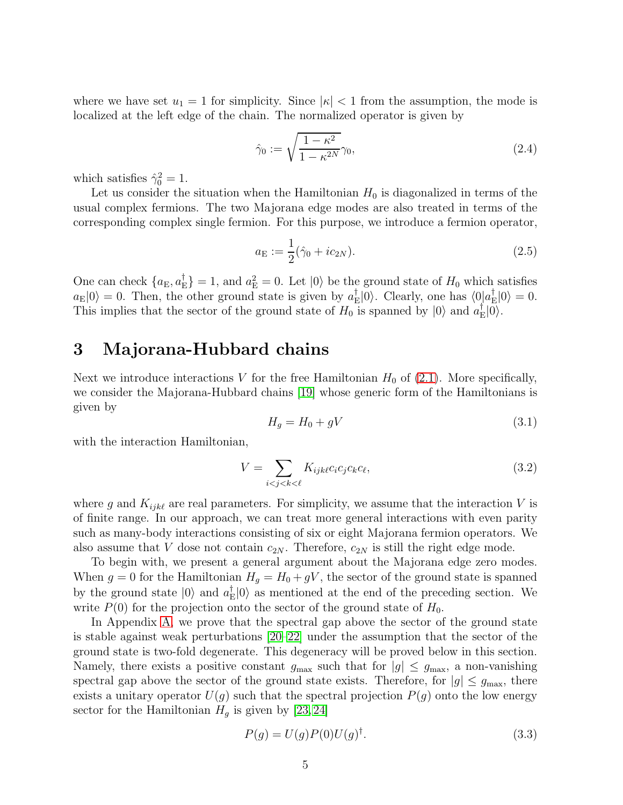where we have set  $u_1 = 1$  for simplicity. Since  $|\kappa| < 1$  from the assumption, the mode is localized at the left edge of the chain. The normalized operator is given by

<span id="page-4-2"></span>
$$
\hat{\gamma}_0 := \sqrt{\frac{1 - \kappa^2}{1 - \kappa^{2N}}} \gamma_0,\tag{2.4}
$$

which satisfies  $\hat{\gamma}_0^2 = 1$ .

Let us consider the situation when the Hamiltonian  $H_0$  is diagonalized in terms of the usual complex fermions. The two Majorana edge modes are also treated in terms of the corresponding complex single fermion. For this purpose, we introduce a fermion operator,

$$
a_{\mathcal{E}} := \frac{1}{2}(\hat{\gamma}_0 + ic_{2N}).
$$
\n(2.5)

One can check  $\{a_{\text{E}}, a_{\text{E}}^{\dagger}\}$  $\mathcal{L}_{\rm E}^{\dagger}$  = 1, and  $a_{\rm E}^2 = 0$ . Let  $|0\rangle$  be the ground state of  $H_0$  which satisfies  $a_{\rm E}|0\rangle = 0$ . Then, the other ground state is given by  $a_{\rm E}^{\dagger}$  $\mathcal{L}_{\text{E}}|0\rangle$ . Clearly, one has  $\langle 0|\hat{a}_{\text{E}}^{\dagger}$  $E_{\rm E} |0\rangle = 0.$ This implies that the sector of the ground state of  $H_0$  is spanned by  $|0\rangle$  and  $a_{\rm F}^{\dagger}$  $_{\rm E}^{\rm I}|0\rangle.$ 

### <span id="page-4-0"></span>3 Majorana-Hubbard chains

Next we introduce interactions V for the free Hamiltonian  $H_0$  of [\(2.1\)](#page-3-1). More specifically, we consider the Majorana-Hubbard chains [\[19\]](#page-25-5) whose generic form of the Hamiltonians is given by

<span id="page-4-1"></span>
$$
H_g = H_0 + gV \tag{3.1}
$$

with the interaction Hamiltonian,

$$
V = \sum_{i < j < k < \ell} K_{ijk\ell} c_i c_j c_k c_\ell,\tag{3.2}
$$

where g and  $K_{ijk\ell}$  are real parameters. For simplicity, we assume that the interaction V is of finite range. In our approach, we can treat more general interactions with even parity such as many-body interactions consisting of six or eight Majorana fermion operators. We also assume that V dose not contain  $c_{2N}$ . Therefore,  $c_{2N}$  is still the right edge mode.

To begin with, we present a general argument about the Majorana edge zero modes. When  $g = 0$  for the Hamiltonian  $H_g = H_0 + gV$ , the sector of the ground state is spanned by the ground state  $|0\rangle$  and  $a_{\text{F}}^{\dagger}$  $\mathbb{E}|0\rangle$  as mentioned at the end of the preceding section. We write  $P(0)$  for the projection onto the sector of the ground state of  $H_0$ .

In Appendix [A,](#page-11-0) we prove that the spectral gap above the sector of the ground state is stable against weak perturbations [\[20–](#page-25-6)[22\]](#page-25-7) under the assumption that the sector of the ground state is two-fold degenerate. This degeneracy will be proved below in this section. Namely, there exists a positive constant  $g_{\text{max}}$  such that for  $|g| \leq g_{\text{max}}$ , a non-vanishing spectral gap above the sector of the ground state exists. Therefore, for  $|g| \le g_{\text{max}}$ , there exists a unitary operator  $U(g)$  such that the spectral projection  $P(g)$  onto the low energy sector for the Hamiltonian  $H<sub>g</sub>$  is given by [\[23,](#page-25-8) [24\]](#page-26-0)

$$
P(g) = U(g)P(0)U(g)^{\dagger}.
$$
\n
$$
(3.3)
$$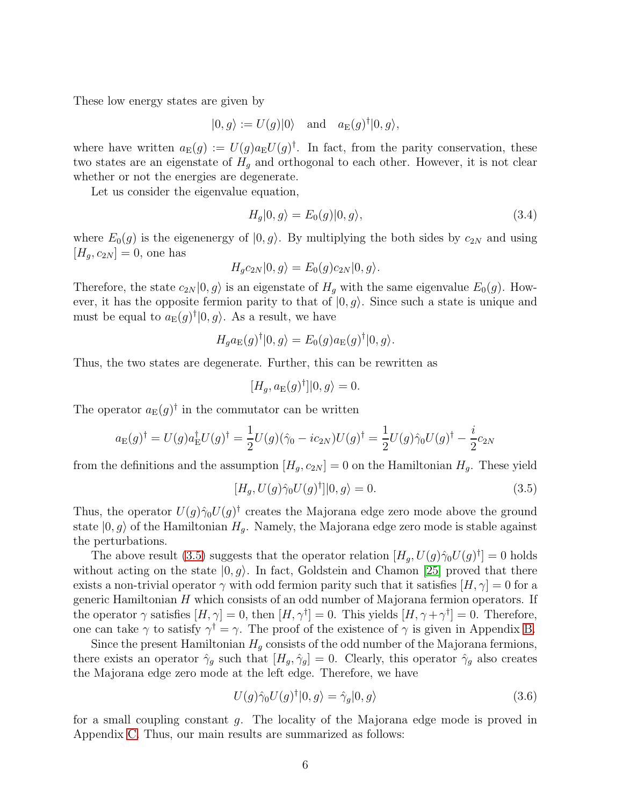These low energy states are given by

$$
|0, g\rangle := U(g)|0\rangle
$$
 and  $a_E(g)^{\dagger}|0, g\rangle$ ,

where have written  $a_E(g) := U(g)a_E U(g)^{\dagger}$ . In fact, from the parity conservation, these two states are an eigenstate of  $H<sub>q</sub>$  and orthogonal to each other. However, it is not clear whether or not the energies are degenerate.

Let us consider the eigenvalue equation,

$$
H_g|0, g\rangle = E_0(g)|0, g\rangle,\tag{3.4}
$$

where  $E_0(g)$  is the eigenenergy of  $|0, g\rangle$ . By multiplying the both sides by  $c_{2N}$  and using  $[H_q, c_{2N}] = 0$ , one has

$$
H_g c_{2N} |0, g\rangle = E_0(g) c_{2N} |0, g\rangle.
$$

Therefore, the state  $c_{2N}|0, g\rangle$  is an eigenstate of  $H<sub>q</sub>$  with the same eigenvalue  $E<sub>0</sub>(g)$ . However, it has the opposite fermion parity to that of  $|0, g\rangle$ . Since such a state is unique and must be equal to  $a_{\mathrm{E}}(g)^{\dagger} |0, g\rangle$ . As a result, we have

$$
H_g a_{\mathcal{E}}(g)^{\dagger} |0, g\rangle = E_0(g) a_{\mathcal{E}}(g)^{\dagger} |0, g\rangle.
$$

Thus, the two states are degenerate. Further, this can be rewritten as

$$
[H_g, a_{\mathcal{E}}(g)^{\dagger}][0, g \rangle = 0.
$$

The operator  $a_{\mathrm{E}}(g)^{\dagger}$  in the commutator can be written

$$
a_{\mathcal{E}}(g)^{\dagger} = U(g)a_{\mathcal{E}}^{\dagger}U(g)^{\dagger} = \frac{1}{2}U(g)(\hat{\gamma}_0 - ic_{2N})U(g)^{\dagger} = \frac{1}{2}U(g)\hat{\gamma}_0U(g)^{\dagger} - \frac{i}{2}c_{2N}
$$

from the definitions and the assumption  $[H_g, c_{2N}] = 0$  on the Hamiltonian  $H_g$ . These yield

<span id="page-5-1"></span>
$$
[H_g, U(g)\hat{\gamma}_0 U(g)^\dagger]|0, g\rangle = 0.
$$
\n(3.5)

Thus, the operator  $U(g)\hat{\gamma}_0U(g)^{\dagger}$  creates the Majorana edge zero mode above the ground state  $|0, g\rangle$  of the Hamiltonian  $H_q$ . Namely, the Majorana edge zero mode is stable against the perturbations.

The above result [\(3.5\)](#page-5-1) suggests that the operator relation  $[H_g, U(g)\hat{\gamma}_0U(g)^{\dagger}] = 0$  holds without acting on the state  $|0, g\rangle$ . In fact, Goldstein and Chamon [\[25\]](#page-26-1) proved that there exists a non-trivial operator  $\gamma$  with odd fermion parity such that it satisfies  $[H, \gamma] = 0$  for a generic Hamiltonian  $H$  which consists of an odd number of Majorana fermion operators. If the operator  $\gamma$  satisfies  $[H, \gamma] = 0$ , then  $[H, \gamma^{\dagger}] = 0$ . This yields  $[H, \gamma + \gamma^{\dagger}] = 0$ . Therefore, one can take  $\gamma$  to satisfy  $\gamma^{\dagger} = \gamma$ . The proof of the existence of  $\gamma$  is given in Appendix [B.](#page-20-0)

Since the present Hamiltonian  $H_q$  consists of the odd number of the Majorana fermions, there exists an operator  $\hat{\gamma}_g$  such that  $[H_g, \hat{\gamma}_g] = 0$ . Clearly, this operator  $\hat{\gamma}_g$  also creates the Majorana edge zero mode at the left edge. Therefore, we have

$$
U(g)\hat{\gamma}_0 U(g)^\dagger |0, g\rangle = \hat{\gamma}_g |0, g\rangle \tag{3.6}
$$

<span id="page-5-0"></span>for a small coupling constant g. The locality of the Majorana edge mode is proved in Appendix [C.](#page-22-0) Thus, our main results are summarized as follows: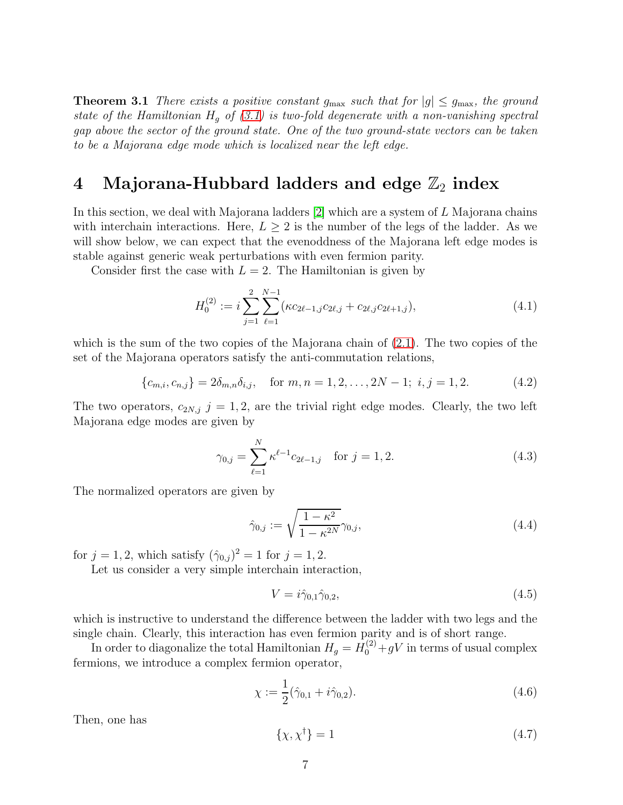**Theorem 3.1** There exists a positive constant  $g_{\text{max}}$  such that for  $|g| \le g_{\text{max}}$ , the ground state of the Hamiltonian  $H_q$  of [\(3.1\)](#page-4-1) is two-fold degenerate with a non-vanishing spectral gap above the sector of the ground state. One of the two ground-state vectors can be taken to be a Majorana edge mode which is localized near the left edge.

# <span id="page-6-0"></span>4 Majorana-Hubbard ladders and edge  $\mathbb{Z}_2$  index

In this section, we deal with Majorana ladders [\[2\]](#page-24-1) which are a system of L Majorana chains with interchain interactions. Here,  $L \geq 2$  is the number of the legs of the ladder. As we will show below, we can expect that the evenoddness of the Majorana left edge modes is stable against generic weak perturbations with even fermion parity.

Consider first the case with  $L = 2$ . The Hamiltonian is given by

$$
H_0^{(2)} := i \sum_{j=1}^2 \sum_{\ell=1}^{N-1} (\kappa c_{2\ell-1,j} c_{2\ell,j} + c_{2\ell,j} c_{2\ell+1,j}),
$$
\n(4.1)

which is the sum of the two copies of the Majorana chain of  $(2.1)$ . The two copies of the set of the Majorana operators satisfy the anti-commutation relations,

$$
\{c_{m,i}, c_{n,j}\} = 2\delta_{m,n}\delta_{i,j}, \quad \text{for } m, n = 1, 2, \dots, 2N - 1; \ i, j = 1, 2. \tag{4.2}
$$

The two operators,  $c_{2N,j}$   $j = 1, 2$ , are the trivial right edge modes. Clearly, the two left Majorana edge modes are given by

$$
\gamma_{0,j} = \sum_{\ell=1}^{N} \kappa^{\ell-1} c_{2\ell-1,j} \quad \text{for } j = 1, 2.
$$
 (4.3)

The normalized operators are given by

$$
\hat{\gamma}_{0,j} := \sqrt{\frac{1 - \kappa^2}{1 - \kappa^{2N}} \gamma_{0,j}},
$$
\n(4.4)

for  $j = 1, 2$ , which satisfy  $(\hat{\gamma}_{0,j})^2 = 1$  for  $j = 1, 2$ .

Let us consider a very simple interchain interaction,

$$
V = i\hat{\gamma}_{0,1}\hat{\gamma}_{0,2},\tag{4.5}
$$

which is instructive to understand the difference between the ladder with two legs and the single chain. Clearly, this interaction has even fermion parity and is of short range.

In order to diagonalize the total Hamiltonian  $H_g = H_0^{(2)} + gV$  in terms of usual complex fermions, we introduce a complex fermion operator,

$$
\chi := \frac{1}{2}(\hat{\gamma}_{0,1} + i\hat{\gamma}_{0,2}).\tag{4.6}
$$

Then, one has

$$
\{\chi, \chi^{\dagger}\} = 1\tag{4.7}
$$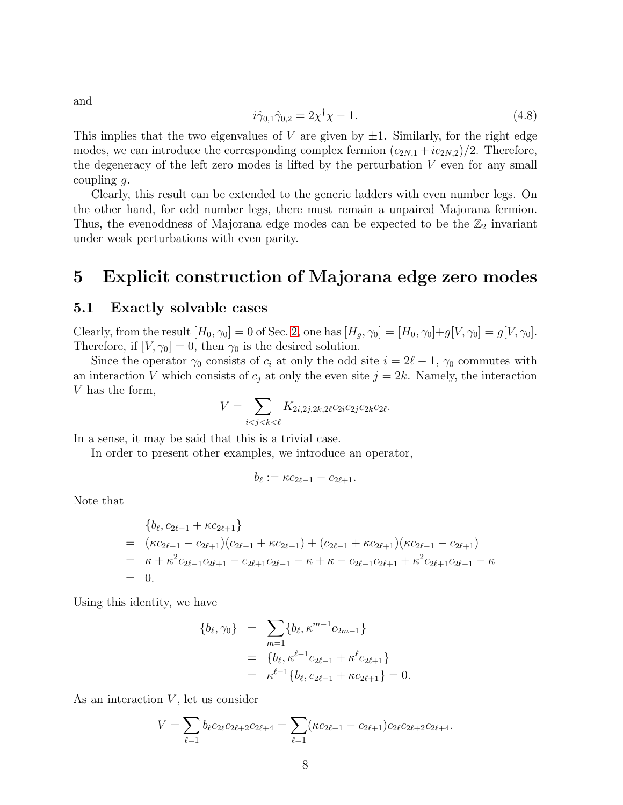$$
i\hat{\gamma}_{0,1}\hat{\gamma}_{0,2} = 2\chi^{\dagger}\chi - 1. \tag{4.8}
$$

This implies that the two eigenvalues of V are given by  $\pm 1$ . Similarly, for the right edge modes, we can introduce the corresponding complex fermion  $(c_{2N,1} + ic_{2N,2})/2$ . Therefore, the degeneracy of the left zero modes is lifted by the perturbation  $V$  even for any small coupling  $g$ .

Clearly, this result can be extended to the generic ladders with even number legs. On the other hand, for odd number legs, there must remain a unpaired Majorana fermion. Thus, the evenoddness of Majorana edge modes can be expected to be the  $\mathbb{Z}_2$  invariant under weak perturbations with even parity.

### <span id="page-7-1"></span><span id="page-7-0"></span>5 Explicit construction of Majorana edge zero modes

#### 5.1 Exactly solvable cases

Clearly, from the result  $[H_0, \gamma_0] = 0$  of Sec. [2,](#page-3-0) one has  $[H_g, \gamma_0] = [H_0, \gamma_0] + g[V, \gamma_0] = g[V, \gamma_0]$ . Therefore, if  $[V, \gamma_0] = 0$ , then  $\gamma_0$  is the desired solution.

Since the operator  $\gamma_0$  consists of  $c_i$  at only the odd site  $i = 2l - 1$ ,  $\gamma_0$  commutes with an interaction V which consists of  $c_j$  at only the even site  $j = 2k$ . Namely, the interaction V has the form,

$$
V = \sum_{i < j < k < \ell} K_{2i, 2j, 2k, 2\ell} c_{2i} c_{2j} c_{2k} c_{2\ell}.
$$

In a sense, it may be said that this is a trivial case.

In order to present other examples, we introduce an operator,

$$
b_{\ell}:=\kappa c_{2\ell-1}-c_{2\ell+1}.
$$

Note that

$$
\begin{aligned}\n&\{b_{\ell}, c_{2\ell-1} + \kappa c_{2\ell+1}\} \\
&= (\kappa c_{2\ell-1} - c_{2\ell+1})(c_{2\ell-1} + \kappa c_{2\ell+1}) + (c_{2\ell-1} + \kappa c_{2\ell+1})(\kappa c_{2\ell-1} - c_{2\ell+1}) \\
&= \kappa + \kappa^2 c_{2\ell-1} c_{2\ell+1} - c_{2\ell+1} c_{2\ell-1} - \kappa + \kappa - c_{2\ell-1} c_{2\ell+1} + \kappa^2 c_{2\ell+1} c_{2\ell-1} - \kappa \\
&= 0.\n\end{aligned}
$$

Using this identity, we have

$$
\{b_{\ell}, \gamma_0\} = \sum_{m=1} \{b_{\ell}, \kappa^{m-1} c_{2m-1}\}
$$
  
= 
$$
\{b_{\ell}, \kappa^{\ell-1} c_{2\ell-1} + \kappa^{\ell} c_{2\ell+1}\}
$$
  
= 
$$
\kappa^{\ell-1} \{b_{\ell}, c_{2\ell-1} + \kappa c_{2\ell+1}\} = 0.
$$

As an interaction  $V$ , let us consider

$$
V = \sum_{\ell=1} b_{\ell} c_{2\ell} c_{2\ell+2} c_{2\ell+4} = \sum_{\ell=1} (\kappa c_{2\ell-1} - c_{2\ell+1}) c_{2\ell} c_{2\ell+2} c_{2\ell+4}.
$$

and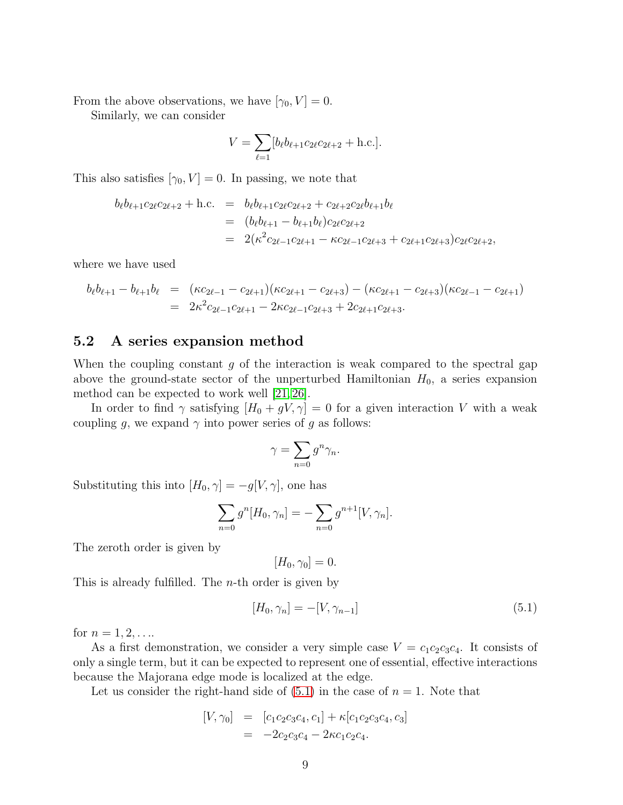From the above observations, we have  $[\gamma_0, V] = 0$ .

Similarly, we can consider

$$
V = \sum_{\ell=1} [b_{\ell} b_{\ell+1} c_{2\ell} c_{2\ell+2} + \text{h.c.}].
$$

This also satisfies  $[\gamma_0, V] = 0$ . In passing, we note that

$$
b_{\ell}b_{\ell+1}c_{2\ell}c_{2\ell+2} + \text{h.c.} = b_{\ell}b_{\ell+1}c_{2\ell}c_{2\ell+2} + c_{2\ell+2}c_{2\ell}b_{\ell+1}b_{\ell}
$$
  
= 
$$
(b_{\ell}b_{\ell+1} - b_{\ell+1}b_{\ell})c_{2\ell}c_{2\ell+2}
$$
  
= 
$$
2(\kappa^2 c_{2\ell-1}c_{2\ell+1} - \kappa c_{2\ell-1}c_{2\ell+3} + c_{2\ell+1}c_{2\ell+3})c_{2\ell}c_{2\ell+2},
$$

where we have used

$$
b_{\ell}b_{\ell+1} - b_{\ell+1}b_{\ell} = (\kappa c_{2\ell-1} - c_{2\ell+1})(\kappa c_{2\ell+1} - c_{2\ell+3}) - (\kappa c_{2\ell+1} - c_{2\ell+3})(\kappa c_{2\ell-1} - c_{2\ell+1})
$$
  
= 
$$
2\kappa^2 c_{2\ell-1}c_{2\ell+1} - 2\kappa c_{2\ell-1}c_{2\ell+3} + 2c_{2\ell+1}c_{2\ell+3}.
$$

#### <span id="page-8-0"></span>5.2 A series expansion method

When the coupling constant  $g$  of the interaction is weak compared to the spectral gap above the ground-state sector of the unperturbed Hamiltonian  $H_0$ , a series expansion method can be expected to work well [\[21,](#page-25-9) [26\]](#page-26-2).

In order to find  $\gamma$  satisfying  $[H_0 + gV, \gamma] = 0$  for a given interaction V with a weak coupling g, we expand  $\gamma$  into power series of g as follows:

$$
\gamma = \sum_{n=0} g^n \gamma_n.
$$

Substituting this into  $[H_0, \gamma] = -g[V, \gamma]$ , one has

$$
\sum_{n=0} g^n[H_0, \gamma_n] = -\sum_{n=0} g^{n+1}[V, \gamma_n].
$$

The zeroth order is given by

$$
[H_0, \gamma_0] = 0.
$$

This is already fulfilled. The n-th order is given by

<span id="page-8-1"></span>
$$
[H_0, \gamma_n] = -[V, \gamma_{n-1}] \tag{5.1}
$$

for  $n = 1, 2, \ldots$ 

As a first demonstration, we consider a very simple case  $V = c_1c_2c_3c_4$ . It consists of only a single term, but it can be expected to represent one of essential, effective interactions because the Majorana edge mode is localized at the edge.

Let us consider the right-hand side of  $(5.1)$  in the case of  $n = 1$ . Note that

$$
[V, \gamma_0] = [c_1c_2c_3c_4, c_1] + \kappa[c_1c_2c_3c_4, c_3]
$$
  
= -2c\_2c\_3c\_4 - 2\kappa c\_1c\_2c\_4.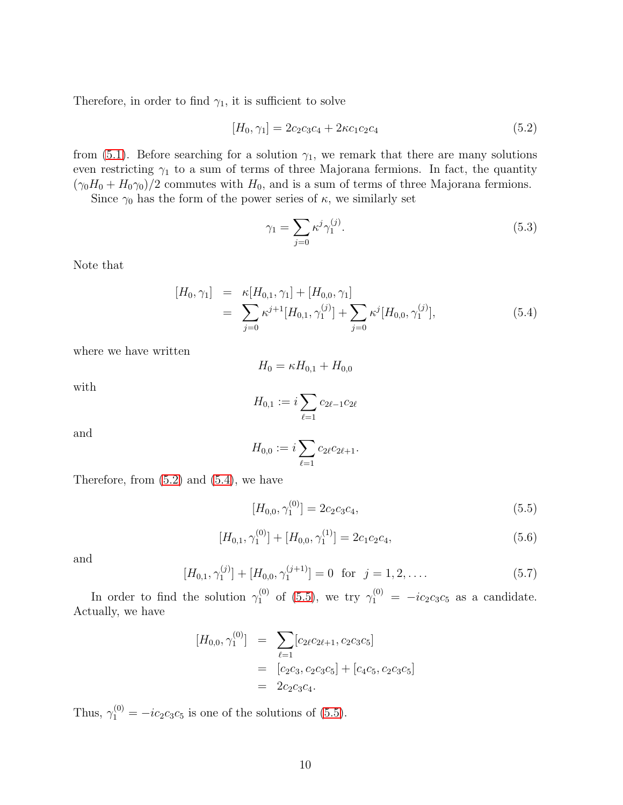Therefore, in order to find  $\gamma_1$ , it is sufficient to solve

<span id="page-9-0"></span>
$$
[H_0, \gamma_1] = 2c_2c_3c_4 + 2\kappa c_1c_2c_4 \tag{5.2}
$$

from [\(5.1\)](#page-8-1). Before searching for a solution  $\gamma_1$ , we remark that there are many solutions even restricting  $\gamma_1$  to a sum of terms of three Majorana fermions. In fact, the quantity  $(\gamma_0 H_0 + H_0 \gamma_0)/2$  commutes with  $H_0$ , and is a sum of terms of three Majorana fermions.

Since  $\gamma_0$  has the form of the power series of  $\kappa$ , we similarly set

$$
\gamma_1 = \sum_{j=0} \kappa^j \gamma_1^{(j)}.\tag{5.3}
$$

Note that

<span id="page-9-1"></span>
$$
[H_0, \gamma_1] = \kappa [H_{0,1}, \gamma_1] + [H_{0,0}, \gamma_1]
$$
  
= 
$$
\sum_{j=0} \kappa^{j+1} [H_{0,1}, \gamma_1^{(j)}] + \sum_{j=0} \kappa^j [H_{0,0}, \gamma_1^{(j)}],
$$
 (5.4)

where we have written

$$
H_0=\kappa H_{0,1}+H_{0,0}
$$

with

$$
H_{0,1} := i \sum_{\ell=1} c_{2\ell-1} c_{2\ell}
$$

and

$$
H_{0,0} := i \sum_{\ell=1} c_{2\ell} c_{2\ell+1}.
$$

Therefore, from  $(5.2)$  and  $(5.4)$ , we have

<span id="page-9-2"></span>
$$
[H_{0,0}, \gamma_1^{(0)}] = 2c_2c_3c_4,\tag{5.5}
$$

<span id="page-9-3"></span>
$$
[H_{0,1}, \gamma_1^{(0)}] + [H_{0,0}, \gamma_1^{(1)}] = 2c_1c_2c_4,\tag{5.6}
$$

and

<span id="page-9-4"></span>
$$
[H_{0,1}, \gamma_1^{(j)}] + [H_{0,0}, \gamma_1^{(j+1)}] = 0 \text{ for } j = 1, 2, \dots
$$
 (5.7)

In order to find the solution  $\gamma_1^{(0)}$  of [\(5.5\)](#page-9-2), we try  $\gamma_1^{(0)} = -ic_2c_3c_5$  as a candidate. Actually, we have

$$
[H_{0,0}, \gamma_1^{(0)}] = \sum_{\ell=1} [c_{2\ell}c_{2\ell+1}, c_2c_3c_5]
$$
  
=  $[c_2c_3, c_2c_3c_5] + [c_4c_5, c_2c_3c_5]$   
=  $2c_2c_3c_4$ .

Thus,  $\gamma_1^{(0)} = -ic_2c_3c_5$  is one of the solutions of [\(5.5\)](#page-9-2).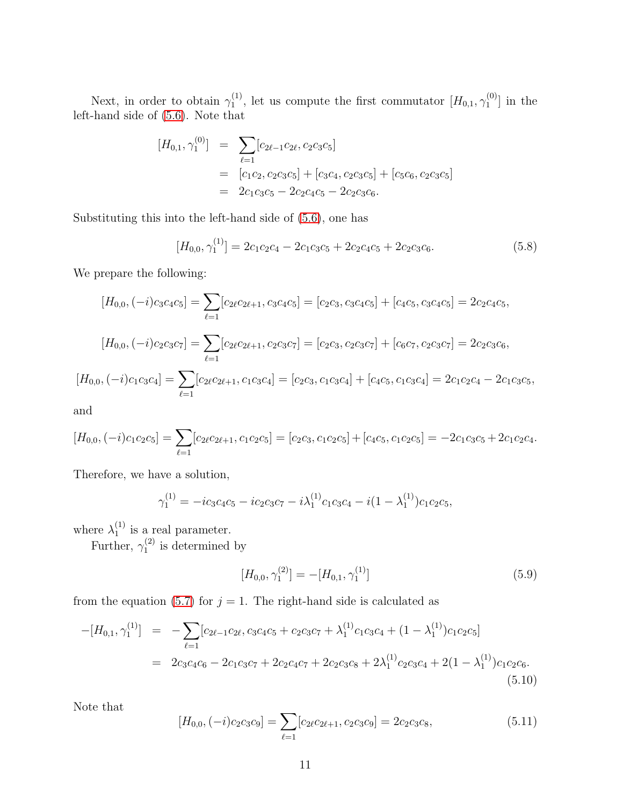Next, in order to obtain  $\gamma_1^{(1)}$  $_1^{(1)}$ , let us compute the first commutator  $[H_{0,1}, \gamma_1^{(0)}]$  $\binom{10}{1}$  in the left-hand side of [\(5.6\)](#page-9-3). Note that

$$
[H_{0,1}, \gamma_1^{(0)}] = \sum_{\ell=1} [c_{2\ell-1}c_{2\ell}, c_2c_3c_5]
$$
  
=  $[c_1c_2, c_2c_3c_5] + [c_3c_4, c_2c_3c_5] + [c_5c_6, c_2c_3c_5]$   
=  $2c_1c_3c_5 - 2c_2c_4c_5 - 2c_2c_3c_6.$ 

Substituting this into the left-hand side of [\(5.6\)](#page-9-3), one has

$$
[H_{0,0}, \gamma_1^{(1)}] = 2c_1c_2c_4 - 2c_1c_3c_5 + 2c_2c_4c_5 + 2c_2c_3c_6.
$$
 (5.8)

We prepare the following:

$$
[H_{0,0}, (-i)c_3c_4c_5] = \sum_{\ell=1} [c_{2\ell}c_{2\ell+1}, c_3c_4c_5] = [c_2c_3, c_3c_4c_5] + [c_4c_5, c_3c_4c_5] = 2c_2c_4c_5,
$$
  
\n
$$
[H_{0,0}, (-i)c_2c_3c_7] = \sum_{\ell=1} [c_{2\ell}c_{2\ell+1}, c_2c_3c_7] = [c_2c_3, c_2c_3c_7] + [c_6c_7, c_2c_3c_7] = 2c_2c_3c_6,
$$
  
\n
$$
[H_{0,0}, (-i)c_1c_3c_4] = \sum_{\ell=1} [c_{2\ell}c_{2\ell+1}, c_1c_3c_4] = [c_2c_3, c_1c_3c_4] + [c_4c_5, c_1c_3c_4] = 2c_1c_2c_4 - 2c_1c_3c_5,
$$

and

$$
[H_{0,0}, (-i)c_1c_2c_5] = \sum_{\ell=1} [c_{2\ell}c_{2\ell+1}, c_1c_2c_5] = [c_2c_3, c_1c_2c_5] + [c_4c_5, c_1c_2c_5] = -2c_1c_3c_5 + 2c_1c_2c_4.
$$

Therefore, we have a solution,

$$
\gamma_1^{(1)} = -ic_3c_4c_5 - ic_2c_3c_7 - i\lambda_1^{(1)}c_1c_3c_4 - i(1 - \lambda_1^{(1)})c_1c_2c_5,
$$

where  $\lambda_1^{(1)}$  $i<sub>1</sub><sup>(1)</sup>$  is a real parameter.

Further,  $\gamma_1^{(2)}$  $i_1^{(2)}$  is determined by

<span id="page-10-1"></span>
$$
[H_{0,0}, \gamma_1^{(2)}] = -[H_{0,1}, \gamma_1^{(1)}]
$$
\n(5.9)

from the equation [\(5.7\)](#page-9-4) for  $j = 1$ . The right-hand side is calculated as

<span id="page-10-0"></span>
$$
-[H_{0,1},\gamma_1^{(1)}] = -\sum_{\ell=1} [c_{2\ell-1}c_{2\ell}, c_3c_4c_5 + c_2c_3c_7 + \lambda_1^{(1)}c_1c_3c_4 + (1-\lambda_1^{(1)})c_1c_2c_5]
$$
  

$$
= 2c_3c_4c_6 - 2c_1c_3c_7 + 2c_2c_4c_7 + 2c_2c_3c_8 + 2\lambda_1^{(1)}c_2c_3c_4 + 2(1-\lambda_1^{(1)})c_1c_2c_6.
$$
  
(5.10)

Note that

<span id="page-10-2"></span>
$$
[H_{0,0}, (-i)c_2c_3c_9] = \sum_{\ell=1} [c_{2\ell}c_{2\ell+1}, c_2c_3c_9] = 2c_2c_3c_8,
$$
\n(5.11)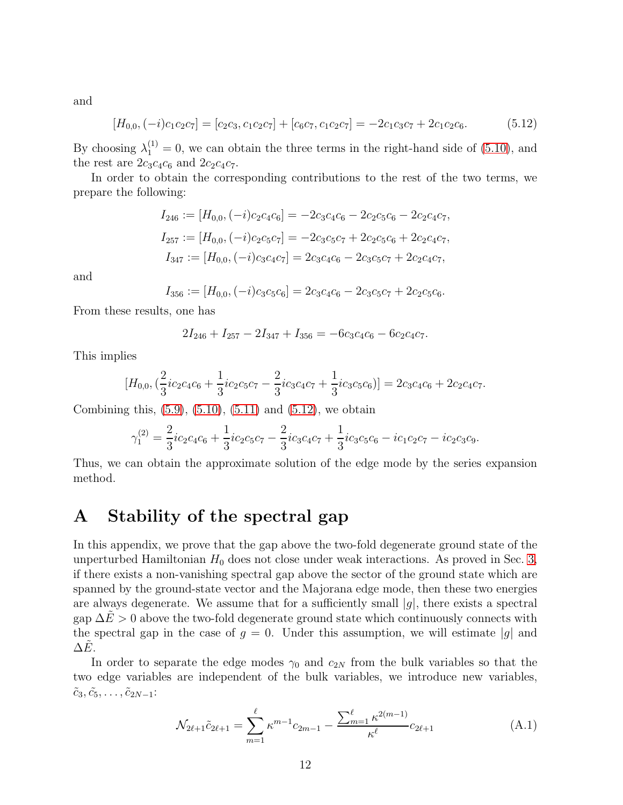and

<span id="page-11-1"></span>
$$
[H_{0,0}, (-i)c_1c_2c_7] = [c_2c_3, c_1c_2c_7] + [c_6c_7, c_1c_2c_7] = -2c_1c_3c_7 + 2c_1c_2c_6.
$$
 (5.12)

By choosing  $\lambda_1^{(1)} = 0$ , we can obtain the three terms in the right-hand side of [\(5.10\)](#page-10-0), and the rest are  $2c_3c_4c_6$  and  $2c_2c_4c_7$ .

In order to obtain the corresponding contributions to the rest of the two terms, we prepare the following:

$$
I_{246} := [H_{0,0}, (-i)c_2c_4c_6] = -2c_3c_4c_6 - 2c_2c_5c_6 - 2c_2c_4c_7,
$$
  
\n
$$
I_{257} := [H_{0,0}, (-i)c_2c_5c_7] = -2c_3c_5c_7 + 2c_2c_5c_6 + 2c_2c_4c_7,
$$
  
\n
$$
I_{347} := [H_{0,0}, (-i)c_3c_4c_7] = 2c_3c_4c_6 - 2c_3c_5c_7 + 2c_2c_4c_7,
$$

and

$$
I_{356} := [H_{0,0}, (-i)c_3c_5c_6] = 2c_3c_4c_6 - 2c_3c_5c_7 + 2c_2c_5c_6.
$$

From these results, one has

$$
2I_{246} + I_{257} - 2I_{347} + I_{356} = -6c_3c_4c_6 - 6c_2c_4c_7.
$$

This implies

$$
[H_{0,0}, (\frac{2}{3}ic_2c_4c_6 + \frac{1}{3}ic_2c_5c_7 - \frac{2}{3}ic_3c_4c_7 + \frac{1}{3}ic_3c_5c_6)] = 2c_3c_4c_6 + 2c_2c_4c_7.
$$

Combining this,  $(5.9)$ ,  $(5.10)$ ,  $(5.11)$  and  $(5.12)$ , we obtain

$$
\gamma_1^{(2)} = \frac{2}{3} i c_2 c_4 c_6 + \frac{1}{3} i c_2 c_5 c_7 - \frac{2}{3} i c_3 c_4 c_7 + \frac{1}{3} i c_3 c_5 c_6 - i c_1 c_2 c_7 - i c_2 c_3 c_9.
$$

Thus, we can obtain the approximate solution of the edge mode by the series expansion method.

### <span id="page-11-0"></span>A Stability of the spectral gap

In this appendix, we prove that the gap above the two-fold degenerate ground state of the unperturbed Hamiltonian  $H_0$  does not close under weak interactions. As proved in Sec. [3,](#page-4-0) if there exists a non-vanishing spectral gap above the sector of the ground state which are spanned by the ground-state vector and the Majorana edge mode, then these two energies are always degenerate. We assume that for a sufficiently small  $|g|$ , there exists a spectral gap  $\Delta E > 0$  above the two-fold degenerate ground state which continuously connects with the spectral gap in the case of  $g = 0$ . Under this assumption, we will estimate |g| and  $\Delta E$ .

In order to separate the edge modes  $\gamma_0$  and  $c_{2N}$  from the bulk variables so that the two edge variables are independent of the bulk variables, we introduce new variables,  $\tilde{c}_3, \tilde{c}_5, \ldots, \tilde{c}_{2N-1}$ :

<span id="page-11-2"></span>
$$
\mathcal{N}_{2\ell+1}\tilde{c}_{2\ell+1} = \sum_{m=1}^{\ell} \kappa^{m-1} c_{2m-1} - \frac{\sum_{m=1}^{\ell} \kappa^{2(m-1)}}{\kappa^{\ell}} c_{2\ell+1}
$$
(A.1)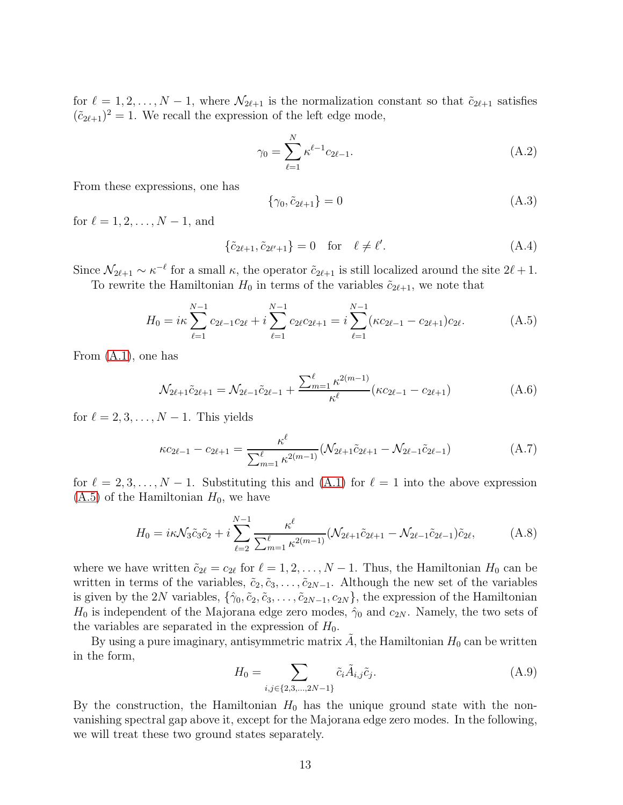for  $\ell = 1, 2, \ldots, N-1$ , where  $\mathcal{N}_{2\ell+1}$  is the normalization constant so that  $\tilde{c}_{2\ell+1}$  satisfies  $({\tilde{c}}_{2l+1})^2 = 1$ . We recall the expression of the left edge mode,

<span id="page-12-1"></span>
$$
\gamma_0 = \sum_{\ell=1}^N \kappa^{\ell-1} c_{2\ell-1}.
$$
\n(A.2)

From these expressions, one has

$$
\{\gamma_0, \tilde{c}_{2\ell+1}\} = 0\tag{A.3}
$$

for  $\ell = 1, 2, ..., N - 1$ , and

$$
\{\tilde{c}_{2\ell+1}, \tilde{c}_{2\ell'+1}\} = 0 \quad \text{for} \quad \ell \neq \ell'. \tag{A.4}
$$

Since  $\mathcal{N}_{2\ell+1} \sim \kappa^{-\ell}$  for a small  $\kappa$ , the operator  $\tilde{c}_{2\ell+1}$  is still localized around the site  $2\ell+1$ . To rewrite the Hamiltonian  $H_0$  in terms of the variables  $\tilde{c}_{2l+1}$ , we note that

<span id="page-12-0"></span>
$$
H_0 = i\kappa \sum_{\ell=1}^{N-1} c_{2\ell-1} c_{2\ell} + i \sum_{\ell=1}^{N-1} c_{2\ell} c_{2\ell+1} = i \sum_{\ell=1}^{N-1} (\kappa c_{2\ell-1} - c_{2\ell+1}) c_{2\ell}.
$$
 (A.5)

From [\(A.1\)](#page-11-2), one has

$$
\mathcal{N}_{2\ell+1}\tilde{c}_{2\ell+1} = \mathcal{N}_{2\ell-1}\tilde{c}_{2\ell-1} + \frac{\sum_{m=1}^{\ell} \kappa^{2(m-1)}}{\kappa^{\ell}} (\kappa c_{2\ell-1} - c_{2\ell+1})
$$
(A.6)

for  $\ell = 2, 3, \ldots, N - 1$ . This yields

$$
\kappa c_{2\ell-1} - c_{2\ell+1} = \frac{\kappa^{\ell}}{\sum_{m=1}^{\ell} \kappa^{2(m-1)}} (\mathcal{N}_{2\ell+1} \tilde{c}_{2\ell+1} - \mathcal{N}_{2\ell-1} \tilde{c}_{2\ell-1})
$$
(A.7)

for  $\ell = 2, 3, \ldots, N-1$ . Substituting this and [\(A.1\)](#page-11-2) for  $\ell = 1$  into the above expression  $(A.5)$  of the Hamiltonian  $H_0$ , we have

$$
H_0 = i\kappa \mathcal{N}_3 \tilde{c}_3 \tilde{c}_2 + i \sum_{\ell=2}^{N-1} \frac{\kappa^{\ell}}{\sum_{m=1}^{\ell} \kappa^{2(m-1)}} (\mathcal{N}_{2\ell+1} \tilde{c}_{2\ell+1} - \mathcal{N}_{2\ell-1} \tilde{c}_{2\ell-1}) \tilde{c}_{2\ell},
$$
 (A.8)

where we have written  $\tilde{c}_{2\ell} = c_{2\ell}$  for  $\ell = 1, 2, ..., N - 1$ . Thus, the Hamiltonian  $H_0$  can be written in terms of the variables,  $\tilde{c}_2, \tilde{c}_3, \ldots, \tilde{c}_{2N-1}$ . Although the new set of the variables is given by the 2N variables,  $\{\hat{\gamma}_0, \tilde{c}_2, \tilde{c}_3, \ldots, \tilde{c}_{2N-1}, c_{2N}\}\,$ , the expression of the Hamiltonian  $H_0$  is independent of the Majorana edge zero modes,  $\hat{\gamma}_0$  and  $c_{2N}$ . Namely, the two sets of the variables are separated in the expression of  $H_0$ .

By using a pure imaginary, antisymmetric matrix A, the Hamiltonian  $H_0$  can be written in the form,

<span id="page-12-2"></span>
$$
H_0 = \sum_{i,j \in \{2,3,\dots,2N-1\}} \tilde{c}_i \tilde{A}_{i,j} \tilde{c}_j.
$$
 (A.9)

By the construction, the Hamiltonian  $H_0$  has the unique ground state with the nonvanishing spectral gap above it, except for the Majorana edge zero modes. In the following, we will treat these two ground states separately.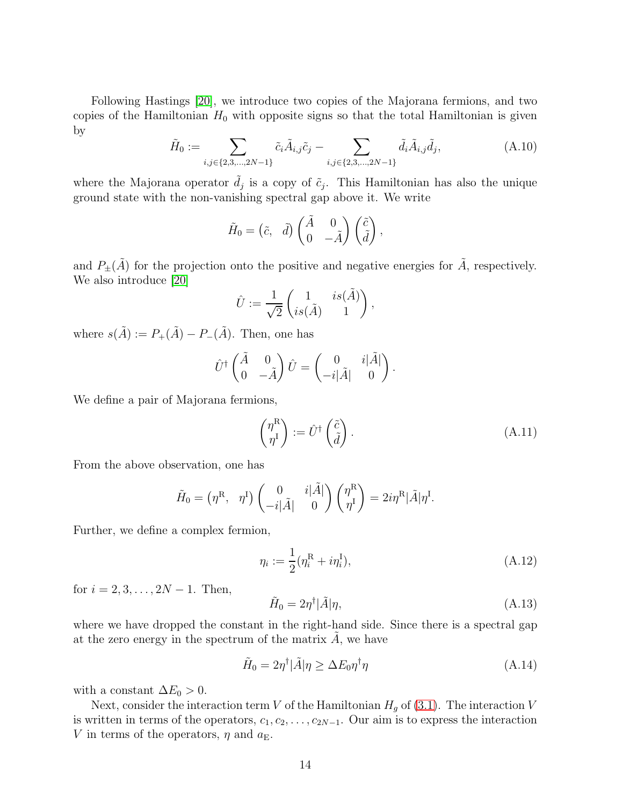Following Hastings [\[20\]](#page-25-6), we introduce two copies of the Majorana fermions, and two copies of the Hamiltonian  $H_0$  with opposite signs so that the total Hamiltonian is given by

<span id="page-13-3"></span>
$$
\tilde{H}_0 := \sum_{i,j \in \{2,3,\dots,2N-1\}} \tilde{c}_i \tilde{A}_{i,j} \tilde{c}_j - \sum_{i,j \in \{2,3,\dots,2N-1\}} \tilde{d}_i \tilde{A}_{i,j} \tilde{d}_j,
$$
\n(A.10)

where the Majorana operator  $\tilde{d}_j$  is a copy of  $\tilde{c}_j$ . This Hamiltonian has also the unique ground state with the non-vanishing spectral gap above it. We write

$$
\tilde{H}_0 = \begin{pmatrix} \tilde{c}, & \tilde{d} \end{pmatrix} \begin{pmatrix} \tilde{A} & 0 \\ 0 & -\tilde{A} \end{pmatrix} \begin{pmatrix} \tilde{c} \\ \tilde{d} \end{pmatrix},
$$

and  $P_{\pm}(\tilde{A})$  for the projection onto the positive and negative energies for  $\tilde{A}$ , respectively. We also introduce [\[20\]](#page-25-6)

$$
\hat{U} := \frac{1}{\sqrt{2}} \begin{pmatrix} 1 & is(\tilde{A}) \\ is(\tilde{A}) & 1 \end{pmatrix},
$$

where  $s(\tilde{A}) := P_{+}(\tilde{A}) - P_{-}(\tilde{A})$ . Then, one has

$$
\hat{U}^{\dagger} \begin{pmatrix} \tilde{A} & 0 \\ 0 & -\tilde{A} \end{pmatrix} \hat{U} = \begin{pmatrix} 0 & i|\tilde{A}| \\ -i|\tilde{A}| & 0 \end{pmatrix}.
$$

We define a pair of Majorana fermions,

<span id="page-13-0"></span>
$$
\begin{pmatrix} \eta^{\mathbf{R}} \\ \eta^{\mathbf{I}} \end{pmatrix} := \hat{U}^{\dagger} \begin{pmatrix} \tilde{c} \\ \tilde{d} \end{pmatrix} . \tag{A.11}
$$

From the above observation, one has

$$
\tilde{H}_0 = (\eta^{\rm R}, \eta^{\rm I}) \begin{pmatrix} 0 & i|\tilde{A}| \\ -i|\tilde{A}| & 0 \end{pmatrix} \begin{pmatrix} \eta^{\rm R} \\ \eta^{\rm I} \end{pmatrix} = 2i\eta^{\rm R}|\tilde{A}|\eta^{\rm I}.
$$

Further, we define a complex fermion,

<span id="page-13-1"></span>
$$
\eta_i := \frac{1}{2} (\eta_i^{\rm R} + i \eta_i^{\rm I}), \tag{A.12}
$$

for  $i = 2, 3, \ldots, 2N - 1$ . Then,

<span id="page-13-2"></span>
$$
\tilde{H}_0 = 2\eta^{\dagger} |\tilde{A}|\eta,\tag{A.13}
$$

where we have dropped the constant in the right-hand side. Since there is a spectral gap at the zero energy in the spectrum of the matrix  $A$ , we have

<span id="page-13-4"></span>
$$
\tilde{H}_0 = 2\eta^{\dagger} |\tilde{A}|\eta \ge \Delta E_0 \eta^{\dagger} \eta \tag{A.14}
$$

with a constant  $\Delta E_0 > 0$ .

Next, consider the interaction term V of the Hamiltonian  $H<sub>g</sub>$  of [\(3.1\)](#page-4-1). The interaction V is written in terms of the operators,  $c_1, c_2, \ldots, c_{2N-1}$ . Our aim is to express the interaction V in terms of the operators,  $\eta$  and  $a_{\text{E}}$ .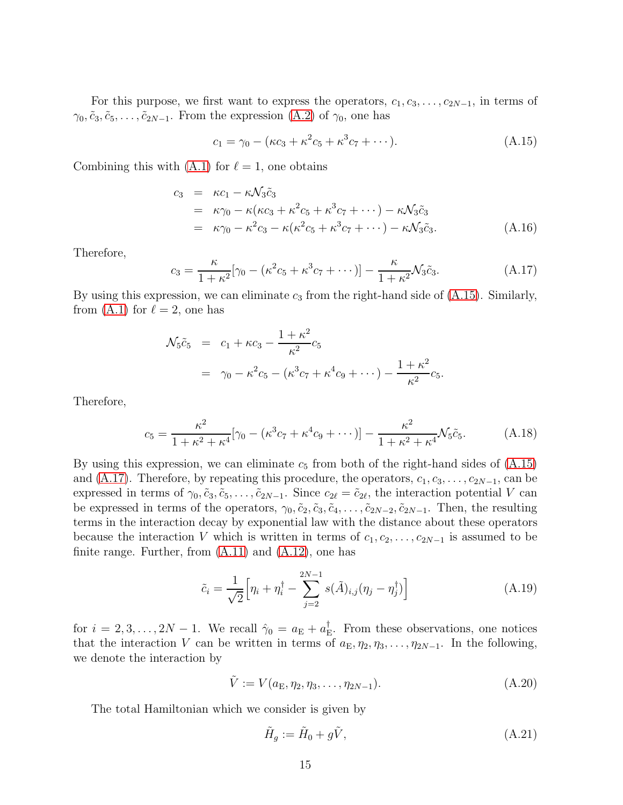For this purpose, we first want to express the operators,  $c_1, c_3, \ldots, c_{2N-1}$ , in terms of  $\gamma_0, \tilde{c}_3, \tilde{c}_5, \ldots, \tilde{c}_{2N-1}$ . From the expression  $(A.2)$  of  $\gamma_0$ , one has

<span id="page-14-0"></span>
$$
c_1 = \gamma_0 - (\kappa c_3 + \kappa^2 c_5 + \kappa^3 c_7 + \cdots). \tag{A.15}
$$

Combining this with  $(A.1)$  for  $\ell = 1$ , one obtains

$$
c_3 = \kappa c_1 - \kappa \mathcal{N}_3 \tilde{c}_3
$$
  
=  $\kappa \gamma_0 - \kappa (\kappa c_3 + \kappa^2 c_5 + \kappa^3 c_7 + \cdots) - \kappa \mathcal{N}_3 \tilde{c}_3$   
=  $\kappa \gamma_0 - \kappa^2 c_3 - \kappa (\kappa^2 c_5 + \kappa^3 c_7 + \cdots) - \kappa \mathcal{N}_3 \tilde{c}_3.$  (A.16)

Therefore,

<span id="page-14-1"></span>
$$
c_3 = \frac{\kappa}{1 + \kappa^2} [\gamma_0 - (\kappa^2 c_5 + \kappa^3 c_7 + \cdots)] - \frac{\kappa}{1 + \kappa^2} \mathcal{N}_3 \tilde{c}_3.
$$
 (A.17)

By using this expression, we can eliminate  $c_3$  from the right-hand side of  $(A.15)$ . Similarly, from [\(A.1\)](#page-11-2) for  $\ell = 2$ , one has

$$
\mathcal{N}_5 \tilde{c}_5 = c_1 + \kappa c_3 - \frac{1+\kappa^2}{\kappa^2} c_5
$$
  
=  $\gamma_0 - \kappa^2 c_5 - (\kappa^3 c_7 + \kappa^4 c_9 + \cdots) - \frac{1+\kappa^2}{\kappa^2} c_5.$ 

Therefore,

$$
c_5 = \frac{\kappa^2}{1 + \kappa^2 + \kappa^4} [\gamma_0 - (\kappa^3 c_7 + \kappa^4 c_9 + \cdots)] - \frac{\kappa^2}{1 + \kappa^2 + \kappa^4} \mathcal{N}_5 \tilde{c}_5.
$$
 (A.18)

By using this expression, we can eliminate  $c_5$  from both of the right-hand sides of  $(A.15)$ and [\(A.17\)](#page-14-1). Therefore, by repeating this procedure, the operators,  $c_1, c_3, \ldots, c_{2N-1}$ , can be expressed in terms of  $\gamma_0, \tilde{c}_3, \tilde{c}_5, \ldots, \tilde{c}_{2N-1}$ . Since  $c_{2\ell} = \tilde{c}_{2\ell}$ , the interaction potential V can be expressed in terms of the operators,  $\gamma_0, \tilde{c}_2, \tilde{c}_3, \tilde{c}_4, \ldots, \tilde{c}_{2N-2}, \tilde{c}_{2N-1}$ . Then, the resulting terms in the interaction decay by exponential law with the distance about these operators because the interaction V which is written in terms of  $c_1, c_2, \ldots, c_{2N-1}$  is assumed to be finite range. Further, from  $(A.11)$  and  $(A.12)$ , one has

$$
\tilde{c}_i = \frac{1}{\sqrt{2}} \Big[ \eta_i + \eta_i^{\dagger} - \sum_{j=2}^{2N-1} s(\tilde{A})_{i,j} (\eta_j - \eta_j^{\dagger}) \Big] \tag{A.19}
$$

for  $i = 2, 3, ..., 2N - 1$ . We recall  $\hat{\gamma}_0 = a_{\rm E} + a_{\rm E}^{\dagger}$ E . From these observations, one notices that the interaction V can be written in terms of  $a_{\text{E}}, \eta_2, \eta_3, \ldots, \eta_{2N-1}$ . In the following, we denote the interaction by

$$
\tilde{V} := V(a_{\rm E}, \eta_2, \eta_3, \dots, \eta_{2N-1}). \tag{A.20}
$$

The total Hamiltonian which we consider is given by

$$
\tilde{H}_g := \tilde{H}_0 + g\tilde{V},\tag{A.21}
$$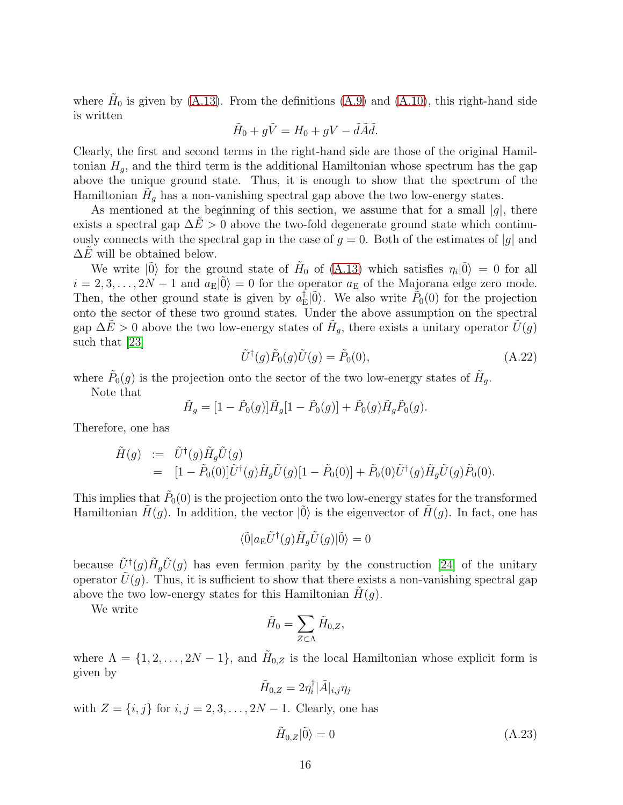where  $H_0$  is given by [\(A.13\)](#page-13-2). From the definitions [\(A.9\)](#page-12-2) and [\(A.10\)](#page-13-3), this right-hand side is written

$$
\tilde{H}_0 + g\tilde{V} = H_0 + gV - \tilde{d}\tilde{A}\tilde{d}.
$$

Clearly, the first and second terms in the right-hand side are those of the original Hamiltonian  $H_q$ , and the third term is the additional Hamiltonian whose spectrum has the gap above the unique ground state. Thus, it is enough to show that the spectrum of the Hamiltonian  $\tilde{H}_g$  has a non-vanishing spectral gap above the two low-energy states.

As mentioned at the beginning of this section, we assume that for a small  $|g|$ , there exists a spectral gap  $\Delta E > 0$  above the two-fold degenerate ground state which continuously connects with the spectral gap in the case of  $g = 0$ . Both of the estimates of |g| and  $\Delta E$  will be obtained below.

We write  $|\tilde{0}\rangle$  for the ground state of  $H_0$  of [\(A.13\)](#page-13-2) which satisfies  $\eta_i|\tilde{0}\rangle = 0$  for all  $i = 2, 3, \ldots, 2N - 1$  and  $a_{\rm E}|0\rangle = 0$  for the operator  $a_{\rm E}$  of the Majorana edge zero mode. Then, the other ground state is given by  $a_{\rm F}^{\dagger}$  $E^{\dagger}|\tilde{0}\rangle$ . We also write  $\tilde{P}_0(0)$  for the projection onto the sector of these two ground states. Under the above assumption on the spectral gap  $\Delta \tilde{E} > 0$  above the two low-energy states of  $\tilde{H}_g$ , there exists a unitary operator  $\tilde{U}(g)$ such that [\[23\]](#page-25-8)

$$
\tilde{U}^{\dagger}(g)\tilde{P}_0(g)\tilde{U}(g) = \tilde{P}_0(0),\tag{A.22}
$$

where  $\tilde{P}_0(g)$  is the projection onto the sector of the two low-energy states of  $\tilde{H}_g$ .

Note that

$$
\tilde{H}_g = [1 - \tilde{P}_0(g)]\tilde{H}_g[1 - \tilde{P}_0(g)] + \tilde{P}_0(g)\tilde{H}_g\tilde{P}_0(g).
$$

Therefore, one has

$$
\tilde{H}(g) := \tilde{U}^{\dagger}(g)\tilde{H}_{g}\tilde{U}(g) \n= [1 - \tilde{P}_{0}(0)]\tilde{U}^{\dagger}(g)\tilde{H}_{g}\tilde{U}(g)[1 - \tilde{P}_{0}(0)] + \tilde{P}_{0}(0)\tilde{U}^{\dagger}(g)\tilde{H}_{g}\tilde{U}(g)\tilde{P}_{0}(0).
$$

This implies that  $\tilde{P}_0(0)$  is the projection onto the two low-energy states for the transformed Hamiltonian  $H(q)$ . In addition, the vector  $|0\rangle$  is the eigenvector of  $H(q)$ . In fact, one has

$$
\langle \tilde{0} | a_{\rm E} \tilde{U}^{\dagger}(g) \tilde{H}_g \tilde{U}(g) | \tilde{0} \rangle = 0
$$

because  $\tilde{U}^{\dagger}(g) \tilde{H}_g \tilde{U}(g)$  has even fermion parity by the construction [\[24\]](#page-26-0) of the unitary operator  $U(g)$ . Thus, it is sufficient to show that there exists a non-vanishing spectral gap above the two low-energy states for this Hamiltonian  $H(g)$ .

We write

$$
\tilde{H}_0 = \sum_{Z \subset \Lambda} \tilde{H}_{0,Z},
$$

where  $\Lambda = \{1, 2, ..., 2N - 1\}$ , and  $\tilde{H}_{0,Z}$  is the local Hamiltonian whose explicit form is given by

$$
\tilde{H}_{0,Z}=2\eta_i^{\dagger}|\tilde{A}|_{i,j}\eta_j
$$

with  $Z = \{i, j\}$  for  $i, j = 2, 3, \ldots, 2N - 1$ . Clearly, one has

$$
\tilde{H}_{0,Z}|\tilde{0}\rangle = 0\tag{A.23}
$$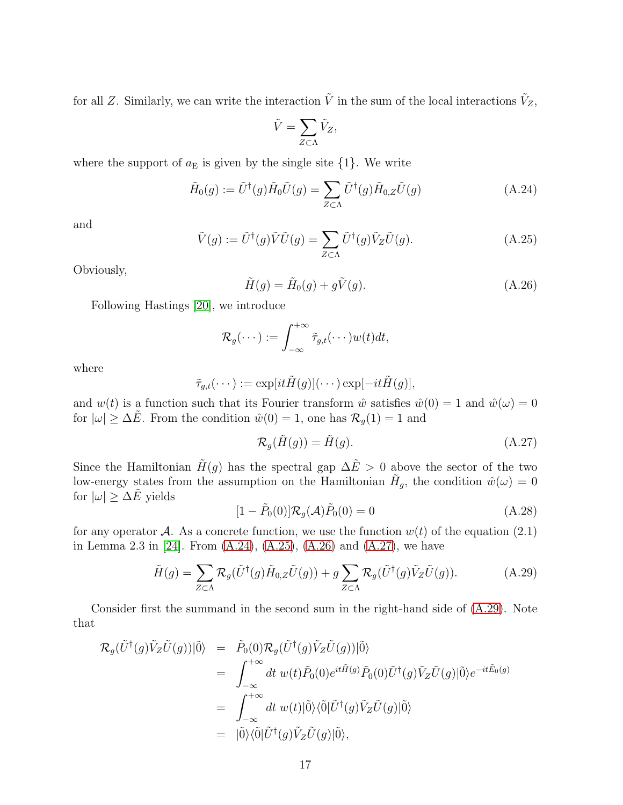for all Z. Similarly, we can write the interaction  $\tilde{V}$  in the sum of the local interactions  $\tilde{V}_Z$ ,

$$
\tilde{V} = \sum_{Z \subset \Lambda} \tilde{V}_Z,
$$

where the support of  $a<sub>E</sub>$  is given by the single site  $\{1\}$ . We write

<span id="page-16-0"></span>
$$
\tilde{H}_0(g) := \tilde{U}^\dagger(g)\tilde{H}_0\tilde{U}(g) = \sum_{Z \subset \Lambda} \tilde{U}^\dagger(g)\tilde{H}_{0,Z}\tilde{U}(g) \tag{A.24}
$$

and

<span id="page-16-1"></span>
$$
\tilde{V}(g) := \tilde{U}^{\dagger}(g)\tilde{V}\tilde{U}(g) = \sum_{Z \subset \Lambda} \tilde{U}^{\dagger}(g)\tilde{V}_Z\tilde{U}(g). \tag{A.25}
$$

Obviously,

<span id="page-16-2"></span>
$$
\tilde{H}(g) = \tilde{H}_0(g) + g\tilde{V}(g). \tag{A.26}
$$

Following Hastings [\[20\]](#page-25-6), we introduce

$$
\mathcal{R}_g(\cdots):=\int_{-\infty}^{+\infty}\tilde{\tau}_{g,t}(\cdots)w(t)dt,
$$

where

$$
\tilde{\tau}_{g,t}(\cdots) := \exp[i t \tilde{H}(g)](\cdots) \exp[-it \tilde{H}(g)],
$$

and  $w(t)$  is a function such that its Fourier transform  $\hat{w}$  satisfies  $\hat{w}(0) = 1$  and  $\hat{w}(\omega) = 0$ for  $|\omega| \geq \Delta E$ . From the condition  $\hat{w}(0) = 1$ , one has  $\mathcal{R}_q(1) = 1$  and

<span id="page-16-3"></span>
$$
\mathcal{R}_g(\tilde{H}(g)) = \tilde{H}(g). \tag{A.27}
$$

Since the Hamiltonian  $\tilde{H}(g)$  has the spectral gap  $\Delta \tilde{E} > 0$  above the sector of the two low-energy states from the assumption on the Hamiltonian  $H_g$ , the condition  $\hat{w}(\omega) = 0$ for  $|\omega| \geq \Delta \tilde{E}$  yields

<span id="page-16-5"></span>
$$
[1 - \tilde{P}_0(0)] \mathcal{R}_g(\mathcal{A}) \tilde{P}_0(0) = 0
$$
 (A.28)

for any operator A. As a concrete function, we use the function  $w(t)$  of the equation (2.1) in Lemma 2.3 in [\[24\]](#page-26-0). From [\(A.24\)](#page-16-0), [\(A.25\)](#page-16-1), [\(A.26\)](#page-16-2) and [\(A.27\)](#page-16-3), we have

<span id="page-16-4"></span>
$$
\tilde{H}(g) = \sum_{Z \subset \Lambda} \mathcal{R}_g(\tilde{U}^\dagger(g)\tilde{H}_{0,Z}\tilde{U}(g)) + g \sum_{Z \subset \Lambda} \mathcal{R}_g(\tilde{U}^\dagger(g)\tilde{V}_Z\tilde{U}(g)).
$$
\n(A.29)

Consider first the summand in the second sum in the right-hand side of [\(A.29\)](#page-16-4). Note that

$$
\mathcal{R}_{g}(\tilde{U}^{\dagger}(g)\tilde{V}_{Z}\tilde{U}(g))|\tilde{0}\rangle = \tilde{P}_{0}(0)\mathcal{R}_{g}(\tilde{U}^{\dagger}(g)\tilde{V}_{Z}\tilde{U}(g))|\tilde{0}\rangle
$$
  
\n
$$
= \int_{-\infty}^{+\infty} dt \ w(t)\tilde{P}_{0}(0)e^{it\tilde{H}(g)}\tilde{P}_{0}(0)\tilde{U}^{\dagger}(g)\tilde{V}_{Z}\tilde{U}(g)|\tilde{0}\rangle e^{-it\tilde{E}_{0}(g)}
$$
  
\n
$$
= \int_{-\infty}^{+\infty} dt \ w(t)|\tilde{0}\rangle\langle\tilde{0}|\tilde{U}^{\dagger}(g)\tilde{V}_{Z}\tilde{U}(g)|\tilde{0}\rangle
$$
  
\n
$$
= |\tilde{0}\rangle\langle\tilde{0}|\tilde{U}^{\dagger}(g)\tilde{V}_{Z}\tilde{U}(g)|\tilde{0}\rangle,
$$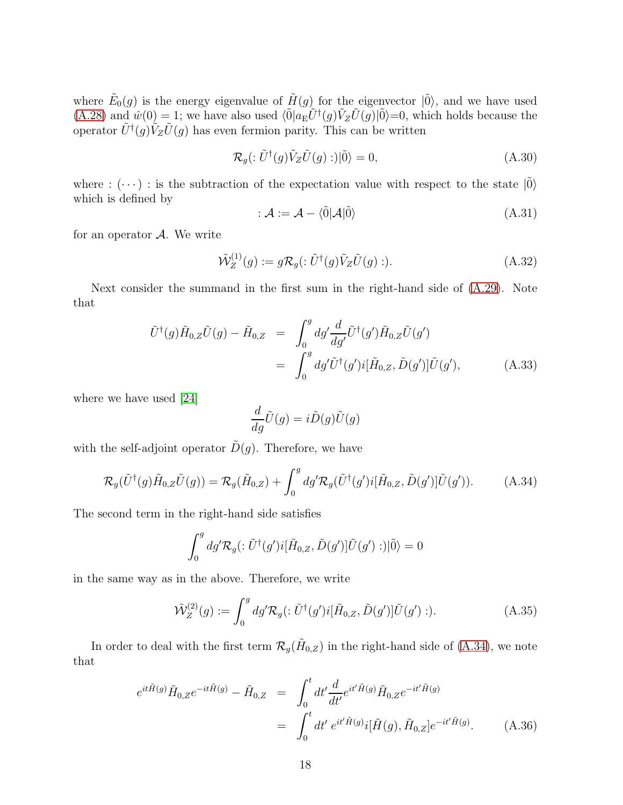where  $\tilde{E}_0(g)$  is the energy eigenvalue of  $\tilde{H}(g)$  for the eigenvector  $|\tilde{0}\rangle$ , and we have used  $(A.28)$  and  $\hat{w}(0) = 1$ ; we have also used  $\langle \tilde{0} | a_{\rm E} \tilde{U}^{\dagger}(g) \tilde{V}_Z \tilde{U}(g) | \tilde{0} \rangle = 0$ , which holds because the operator  $\tilde{U}^{\dagger}(g)\tilde{V}_Z\tilde{U}(g)$  has even fermion parity. This can be written

$$
\mathcal{R}_g(\colon \tilde{U}^\dagger(g)\tilde{V}_Z\tilde{U}(g) :)|\tilde{0}\rangle = 0,
$$
\n(A.30)

where :  $(\cdots)$ : is the subtraction of the expectation value with respect to the state  $|\tilde{0}\rangle$ which is defined by

$$
\mathcal{A} := \mathcal{A} - \langle \tilde{0} | \mathcal{A} | \tilde{0} \rangle \tag{A.31}
$$

for an operator  $A$ . We write

<span id="page-17-3"></span>
$$
\tilde{\mathcal{W}}_Z^{(1)}(g) := g \mathcal{R}_g(:\tilde{U}^\dagger(g)\tilde{V}_Z \tilde{U}(g):).
$$
\n(A.32)

Next consider the summand in the first sum in the right-hand side of [\(A.29\)](#page-16-4). Note that

<span id="page-17-1"></span>
$$
\tilde{U}^{\dagger}(g)\tilde{H}_{0,Z}\tilde{U}(g) - \tilde{H}_{0,Z} = \int_0^g dg' \frac{d}{dg'} \tilde{U}^{\dagger}(g')\tilde{H}_{0,Z}\tilde{U}(g')
$$
\n
$$
= \int_0^g dg' \tilde{U}^{\dagger}(g')i[\tilde{H}_{0,Z}, \tilde{D}(g')] \tilde{U}(g'), \tag{A.33}
$$

where we have used [\[24\]](#page-26-0)

$$
\frac{d}{dg}\tilde{U}(g) = i\tilde{D}(g)\tilde{U}(g)
$$

with the self-adjoint operator  $\tilde{D}(g)$ . Therefore, we have

<span id="page-17-0"></span>
$$
\mathcal{R}_g(\tilde{U}^\dagger(g)\tilde{H}_{0,Z}\tilde{U}(g)) = \mathcal{R}_g(\tilde{H}_{0,Z}) + \int_0^g dg' \mathcal{R}_g(\tilde{U}^\dagger(g')i[\tilde{H}_{0,Z}, \tilde{D}(g')]\tilde{U}(g')). \tag{A.34}
$$

The second term in the right-hand side satisfies

$$
\int_0^g dg' \mathcal{R}_g(:\tilde{U}^{\dagger}(g')i[\tilde{H}_{0,Z},\tilde{D}(g')]\tilde{U}(g'):)|\tilde{0}\rangle=0
$$

in the same way as in the above. Therefore, we write

<span id="page-17-4"></span>
$$
\tilde{\mathcal{W}}_Z^{(2)}(g) := \int_0^g dg' \mathcal{R}_g(\: : \tilde{U}^\dagger(g') i[\tilde{H}_{0,Z}, \tilde{D}(g')] \tilde{U}(g') : ). \tag{A.35}
$$

In order to deal with the first term  $\mathcal{R}_g(\tilde{H}_{0,Z})$  in the right-hand side of [\(A.34\)](#page-17-0), we note that

<span id="page-17-2"></span>
$$
e^{it\tilde{H}(g)}\tilde{H}_{0,Z}e^{-it\tilde{H}(g)} - \tilde{H}_{0,Z} = \int_0^t dt' \frac{d}{dt'} e^{it'\tilde{H}(g)} \tilde{H}_{0,Z}e^{-it'\tilde{H}(g)} = \int_0^t dt' e^{it'\tilde{H}(g)} i[\tilde{H}(g), \tilde{H}_{0,Z}] e^{-it'\tilde{H}(g)}.
$$
(A.36)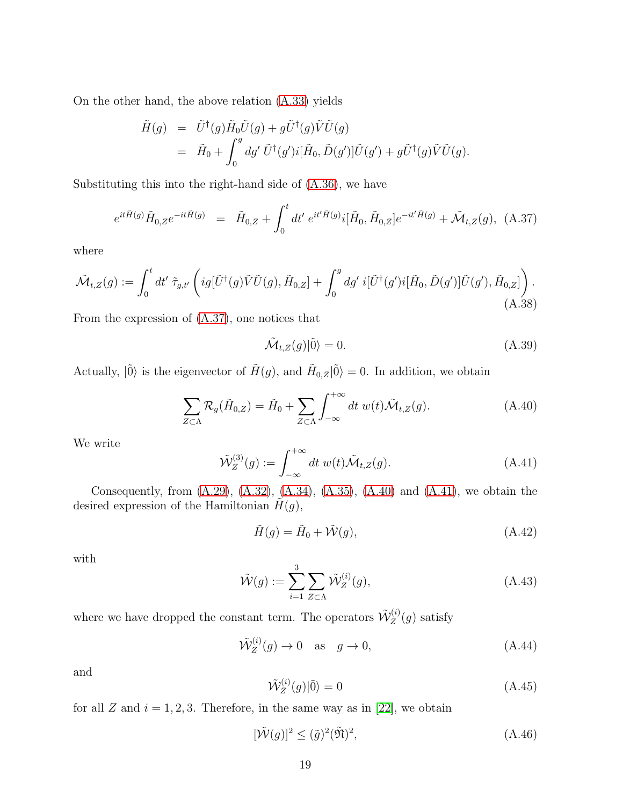On the other hand, the above relation [\(A.33\)](#page-17-1) yields

$$
\tilde{H}(g) = \tilde{U}^{\dagger}(g)\tilde{H}_0\tilde{U}(g) + g\tilde{U}^{\dagger}(g)\tilde{V}\tilde{U}(g) \n= \tilde{H}_0 + \int_0^g dg'\ \tilde{U}^{\dagger}(g')i[\tilde{H}_0, \tilde{D}(g')] \tilde{U}(g') + g\tilde{U}^{\dagger}(g)\tilde{V}\tilde{U}(g).
$$

Substituting this into the right-hand side of [\(A.36\)](#page-17-2), we have

<span id="page-18-0"></span>
$$
e^{it\tilde{H}(g)}\tilde{H}_{0,Z}e^{-it\tilde{H}(g)} = \tilde{H}_{0,Z} + \int_0^t dt' e^{it'\tilde{H}(g)}i[\tilde{H}_0, \tilde{H}_{0,Z}]e^{-it'\tilde{H}(g)} + \tilde{\mathcal{M}}_{t,Z}(g), \quad (A.37)
$$

where

$$
\tilde{\mathcal{M}}_{t,Z}(g) := \int_0^t dt' \ \tilde{\tau}_{g,t'} \left( ig[\tilde{U}^\dagger(g)\tilde{V}\tilde{U}(g), \tilde{H}_{0,Z}] + \int_0^g dg' i[\tilde{U}^\dagger(g')i[\tilde{H}_0, \tilde{D}(g')]\tilde{U}(g'), \tilde{H}_{0,Z}] \right). \tag{A.38}
$$

From the expression of [\(A.37\)](#page-18-0), one notices that

$$
\tilde{\mathcal{M}}_{t,Z}(g)|\tilde{0}\rangle = 0.
$$
\n(A.39)

Actually,  $|\tilde{0}\rangle$  is the eigenvector of  $\tilde{H}(g)$ , and  $\tilde{H}_{0,Z}|\tilde{0}\rangle = 0$ . In addition, we obtain

<span id="page-18-1"></span>
$$
\sum_{Z \subset \Lambda} \mathcal{R}_g(\tilde{H}_{0,Z}) = \tilde{H}_0 + \sum_{Z \subset \Lambda} \int_{-\infty}^{+\infty} dt \ w(t) \tilde{\mathcal{M}}_{t,Z}(g). \tag{A.40}
$$

We write

<span id="page-18-2"></span>
$$
\tilde{\mathcal{W}}_Z^{(3)}(g) := \int_{-\infty}^{+\infty} dt \ w(t) \tilde{\mathcal{M}}_{t,Z}(g). \tag{A.41}
$$

Consequently, from  $(A.29)$ ,  $(A.32)$ ,  $(A.34)$ ,  $(A.35)$ ,  $(A.40)$  and  $(A.41)$ , we obtain the desired expression of the Hamiltonian  $\tilde{H}(g)$ ,

$$
\tilde{H}(g) = \tilde{H}_0 + \tilde{\mathcal{W}}(g),\tag{A.42}
$$

with

$$
\tilde{\mathcal{W}}(g) := \sum_{i=1}^{3} \sum_{Z \subset \Lambda} \tilde{\mathcal{W}}_Z^{(i)}(g), \tag{A.43}
$$

where we have dropped the constant term. The operators  $\tilde{\mathcal{W}}_Z^{(i)}$  $Z^{(i)}(g)$  satisfy

$$
\tilde{\mathcal{W}}_Z^{(i)}(g) \to 0 \quad \text{as} \quad g \to 0,\tag{A.44}
$$

and

$$
\tilde{\mathcal{W}}_Z^{(i)}(g)|\tilde{0}\rangle = 0\tag{A.45}
$$

for all Z and  $i = 1, 2, 3$ . Therefore, in the same way as in [\[22\]](#page-25-7), we obtain

$$
[\tilde{\mathcal{W}}(g)]^2 \le (\tilde{g})^2 (\tilde{\mathfrak{N}})^2, \tag{A.46}
$$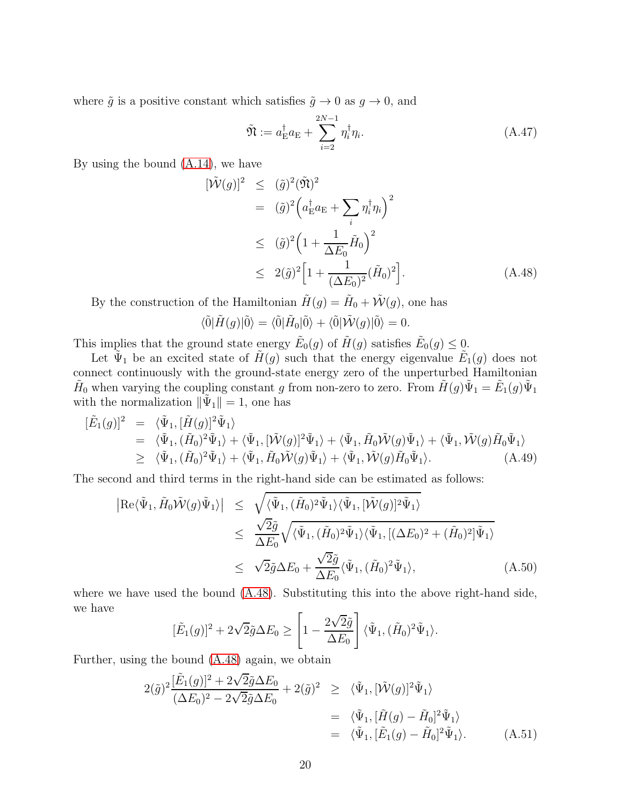where  $\tilde{g}$  is a positive constant which satisfies  $\tilde{g} \to 0$  as  $g \to 0$ , and

$$
\tilde{\mathfrak{N}} := a_{\mathcal{E}}^{\dagger} a_{\mathcal{E}} + \sum_{i=2}^{2N-1} \eta_i^{\dagger} \eta_i.
$$
\n(A.47)

By using the bound [\(A.14\)](#page-13-4), we have

<span id="page-19-0"></span>
$$
[\tilde{\mathcal{W}}(g)]^2 \leq (\tilde{g})^2 (\tilde{\mathfrak{N}})^2
$$
  
\n
$$
= (\tilde{g})^2 \left( a_{\mathcal{E}}^\dagger a_{\mathcal{E}} + \sum_i \eta_i^\dagger \eta_i \right)^2
$$
  
\n
$$
\leq (\tilde{g})^2 \left( 1 + \frac{1}{\Delta E_0} \tilde{H}_0 \right)^2
$$
  
\n
$$
\leq 2(\tilde{g})^2 \left[ 1 + \frac{1}{(\Delta E_0)^2} (\tilde{H}_0)^2 \right].
$$
 (A.48)

By the construction of the Hamiltonian  $\tilde{H}(g) = \tilde{H}_0 + \tilde{\mathcal{W}}(g)$ , one has

$$
\langle \tilde{0} | \tilde{H}(g) | \tilde{0} \rangle = \langle \tilde{0} | \tilde{H}_0 | \tilde{0} \rangle + \langle \tilde{0} | \tilde{W}(g) | \tilde{0} \rangle = 0.
$$

This implies that the ground state energy  $\tilde{E}_0(g)$  of  $\tilde{H}(g)$  satisfies  $\tilde{E}_0(g) \leq 0$ .

Let  $\tilde{\Psi}_1$  be an excited state of  $\tilde{H}(g)$  such that the energy eigenvalue  $\tilde{E}_1(g)$  does not connect continuously with the ground-state energy zero of the unperturbed Hamiltonian  $\tilde{H}_0$  when varying the coupling constant g from non-zero to zero. From  $\tilde{H}(g)\tilde{\Psi}_1 = \tilde{E}_1(g)\tilde{\Psi}_1$ with the normalization  $\|\tilde{\Psi}_1\| = 1$ , one has

$$
\begin{split}\n[\tilde{E}_1(g)]^2 &= \langle \tilde{\Psi}_1, [\tilde{H}(g)]^2 \tilde{\Psi}_1 \rangle \\
&= \langle \tilde{\Psi}_1, (\tilde{H}_0)^2 \tilde{\Psi}_1 \rangle + \langle \tilde{\Psi}_1, [\tilde{\mathcal{W}}(g)]^2 \tilde{\Psi}_1 \rangle + \langle \tilde{\Psi}_1, \tilde{H}_0 \tilde{\mathcal{W}}(g) \tilde{\Psi}_1 \rangle + \langle \tilde{\Psi}_1, \tilde{\mathcal{W}}(g) \tilde{H}_0 \tilde{\Psi}_1 \rangle \\
&\geq \langle \tilde{\Psi}_1, (\tilde{H}_0)^2 \tilde{\Psi}_1 \rangle + \langle \tilde{\Psi}_1, \tilde{H}_0 \tilde{\mathcal{W}}(g) \tilde{\Psi}_1 \rangle + \langle \tilde{\Psi}_1, \tilde{\mathcal{W}}(g) \tilde{H}_0 \tilde{\Psi}_1 \rangle.\n\end{split} \tag{A.49}
$$

The second and third terms in the right-hand side can be estimated as follows:

$$
\begin{split} \left| \text{Re}\langle \tilde{\Psi}_{1}, \tilde{H}_{0} \tilde{\mathcal{W}}(g) \tilde{\Psi}_{1} \rangle \right| &\leq \sqrt{\langle \tilde{\Psi}_{1}, (\tilde{H}_{0})^{2} \tilde{\Psi}_{1} \rangle \langle \tilde{\Psi}_{1}, [\tilde{\mathcal{W}}(g)]^{2} \tilde{\Psi}_{1} \rangle} \\ &\leq \frac{\sqrt{2} \tilde{g}}{\Delta E_{0}} \sqrt{\langle \tilde{\Psi}_{1}, (\tilde{H}_{0})^{2} \tilde{\Psi}_{1} \rangle \langle \tilde{\Psi}_{1}, [(\Delta E_{0})^{2} + (\tilde{H}_{0})^{2}] \tilde{\Psi}_{1} \rangle} \\ &\leq \sqrt{2} \tilde{g} \Delta E_{0} + \frac{\sqrt{2} \tilde{g}}{\Delta E_{0}} \langle \tilde{\Psi}_{1}, (\tilde{H}_{0})^{2} \tilde{\Psi}_{1} \rangle, \end{split} \tag{A.50}
$$

where we have used the bound  $(A.48)$ . Substituting this into the above right-hand side, we have

$$
[\tilde{E}_1(g)]^2 + 2\sqrt{2}\tilde{g}\Delta E_0 \ge \left[1 - \frac{2\sqrt{2}\tilde{g}}{\Delta E_0}\right] \langle \tilde{\Psi}_1, (\tilde{H}_0)^2 \tilde{\Psi}_1 \rangle.
$$

Further, using the bound [\(A.48\)](#page-19-0) again, we obtain

$$
2(\tilde{g})^2 \frac{[\tilde{E}_1(g)]^2 + 2\sqrt{2}\tilde{g}\Delta E_0}{(\Delta E_0)^2 - 2\sqrt{2}\tilde{g}\Delta E_0} + 2(\tilde{g})^2 \geq \langle \tilde{\Psi}_1, [\tilde{W}(g)]^2 \tilde{\Psi}_1 \rangle
$$
  
=  $\langle \tilde{\Psi}_1, [\tilde{H}(g) - \tilde{H}_0]^2 \tilde{\Psi}_1 \rangle$   
=  $\langle \tilde{\Psi}_1, [\tilde{E}_1(g) - \tilde{H}_0]^2 \tilde{\Psi}_1 \rangle$ . (A.51)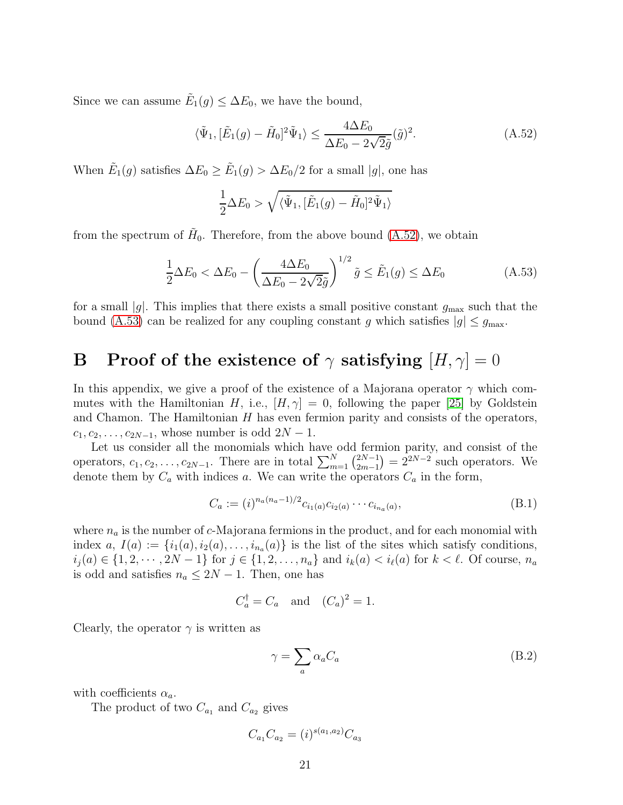Since we can assume  $\tilde{E}_1(g) \leq \Delta E_0$ , we have the bound,

<span id="page-20-1"></span>
$$
\langle \tilde{\Psi}_1, [\tilde{E}_1(g) - \tilde{H}_0]^2 \tilde{\Psi}_1 \rangle \le \frac{4\Delta E_0}{\Delta E_0 - 2\sqrt{2}\tilde{g}} (\tilde{g})^2.
$$
 (A.52)

When  $\tilde{E}_1(g)$  satisfies  $\Delta E_0 \ge \tilde{E}_1(g) > \Delta E_0/2$  for a small |g|, one has

$$
\frac{1}{2}\Delta E_0 > \sqrt{\langle \tilde{\Psi}_1, [\tilde{E}_1(g) - \tilde{H}_0]^2 \tilde{\Psi}_1 \rangle}
$$

from the spectrum of  $H_0$ . Therefore, from the above bound [\(A.52\)](#page-20-1), we obtain

<span id="page-20-2"></span>
$$
\frac{1}{2}\Delta E_0 < \Delta E_0 - \left(\frac{4\Delta E_0}{\Delta E_0 - 2\sqrt{2}\tilde{g}}\right)^{1/2} \tilde{g} \le \tilde{E}_1(g) \le \Delta E_0 \tag{A.53}
$$

for a small |g|. This implies that there exists a small positive constant  $g_{\text{max}}$  such that the bound [\(A.53\)](#page-20-2) can be realized for any coupling constant g which satisfies  $|g| \le g_{\text{max}}$ .

# <span id="page-20-0"></span>**B** Proof of the existence of  $\gamma$  satisfying  $[H, \gamma] = 0$

In this appendix, we give a proof of the existence of a Majorana operator  $\gamma$  which commutes with the Hamiltonian H, i.e.,  $[H, \gamma] = 0$ , following the paper [\[25\]](#page-26-1) by Goldstein and Chamon. The Hamiltonian  $H$  has even fermion parity and consists of the operators,  $c_1, c_2, \ldots, c_{2N-1}$ , whose number is odd  $2N-1$ .

Let us consider all the monomials which have odd fermion parity, and consist of the operators,  $c_1, c_2, \ldots, c_{2N-1}$ . There are in total  $\sum_{m=1}^{N} {2N-1 \choose 2m-1}$  $2^{2N-1}_{2m-1}$  =  $2^{2N-2}$  such operators. We denote them by  $C_a$  with indices a. We can write the operators  $C_a$  in the form,

$$
C_a := (i)^{n_a(n_a-1)/2} c_{i_1(a)} c_{i_2(a)} \cdots c_{i_{n_a}(a)},
$$
\n(B.1)

where  $n_a$  is the number of c-Majorana fermions in the product, and for each monomial with index  $a, I(a) := \{i_1(a), i_2(a), \ldots, i_{n_a}(a)\}\$ is the list of the sites which satisfy conditions,  $i_j(a) \in \{1, 2, \cdots, 2N-1\}$  for  $j \in \{1, 2, \ldots, n_a\}$  and  $i_k(a) < i_\ell(a)$  for  $k < \ell$ . Of course,  $n_a$ is odd and satisfies  $n_a \leq 2N - 1$ . Then, one has

$$
C_a^{\dagger} = C_a \quad \text{and} \quad (C_a)^2 = 1.
$$

Clearly, the operator  $\gamma$  is written as

$$
\gamma = \sum_{a} \alpha_a C_a \tag{B.2}
$$

with coefficients  $\alpha_a$ .

The product of two  $C_{a_1}$  and  $C_{a_2}$  gives

$$
C_{a_1} C_{a_2} = (i)^{s(a_1, a_2)} C_{a_3}
$$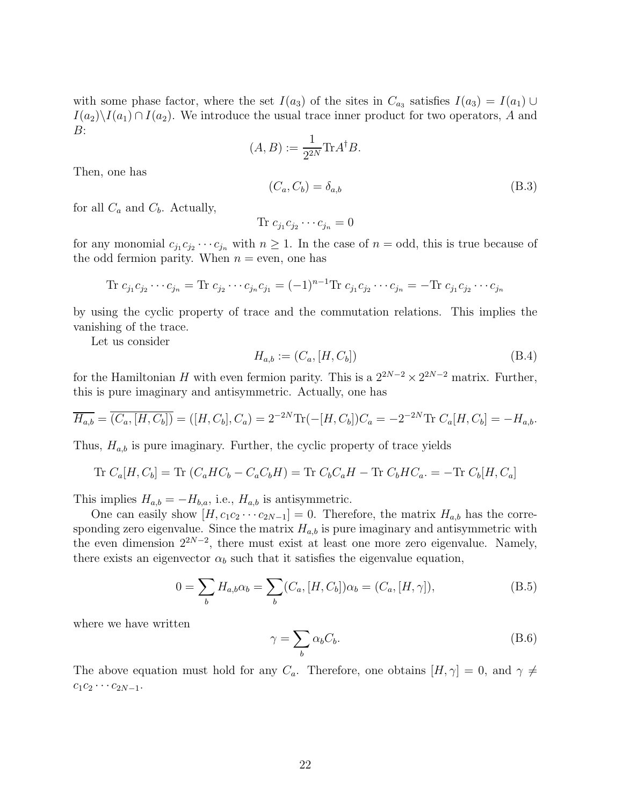with some phase factor, where the set  $I(a_3)$  of the sites in  $C_{a_3}$  satisfies  $I(a_3) = I(a_1) \cup$  $I(a_2)\setminus I(a_1) \cap I(a_2)$ . We introduce the usual trace inner product for two operators, A and B:

$$
(A, B) := \frac{1}{2^{2N}} \text{Tr} A^{\dagger} B.
$$

Then, one has

$$
(C_a, C_b) = \delta_{a,b} \tag{B.3}
$$

for all  $C_a$  and  $C_b$ . Actually,

$$
\text{Tr } c_{j_1} c_{j_2} \cdots c_{j_n} = 0
$$

for any monomial  $c_{j_1}c_{j_2}\cdots c_{j_n}$  with  $n\geq 1$ . In the case of  $n=\text{odd}$ , this is true because of the odd fermion parity. When  $n =$  even, one has

Tr 
$$
c_{j_1}c_{j_2}\cdots c_{j_n} =
$$
 Tr  $c_{j_2}\cdots c_{j_n}c_{j_1} = (-1)^{n-1}$  Tr  $c_{j_1}c_{j_2}\cdots c_{j_n} =$  - Tr  $c_{j_1}c_{j_2}\cdots c_{j_n}$ 

by using the cyclic property of trace and the commutation relations. This implies the vanishing of the trace.

Let us consider

$$
H_{a,b} := (C_a, [H, C_b])
$$
 (B.4)

for the Hamiltonian H with even fermion parity. This is a  $2^{2N-2} \times 2^{2N-2}$  matrix. Further, this is pure imaginary and antisymmetric. Actually, one has

$$
\overline{H_{a,b}} = \overline{(C_a, [H, C_b])} = ([H, C_b], C_a) = 2^{-2N} \text{Tr}(-[H, C_b]) C_a = -2^{-2N} \text{Tr } C_a[H, C_b] = -H_{a,b}.
$$

Thus,  $H_{a,b}$  is pure imaginary. Further, the cyclic property of trace yields

Tr 
$$
C_a[H, C_b]
$$
 = Tr  $(C_aHC_b - C_aC_bH)$  = Tr  $C_bC_aH$  - Tr  $C_bHC_a$  = -Tr  $C_b[H, C_a]$ 

This implies  $H_{a,b} = -H_{b,a}$ , i.e.,  $H_{a,b}$  is antisymmetric.

One can easily show  $[H, c_1c_2 \cdots c_{2N-1}] = 0$ . Therefore, the matrix  $H_{a,b}$  has the corresponding zero eigenvalue. Since the matrix  $H_{a,b}$  is pure imaginary and antisymmetric with the even dimension  $2^{2N-2}$ , there must exist at least one more zero eigenvalue. Namely, there exists an eigenvector  $\alpha_b$  such that it satisfies the eigenvalue equation,

$$
0 = \sum_{b} H_{a,b} \alpha_b = \sum_{b} (C_a, [H, C_b]) \alpha_b = (C_a, [H, \gamma]), \tag{B.5}
$$

where we have written

$$
\gamma = \sum_{b} \alpha_b C_b. \tag{B.6}
$$

The above equation must hold for any  $C_a$ . Therefore, one obtains  $[H, \gamma] = 0$ , and  $\gamma \neq$  $c_1c_2 \cdots c_{2N-1}$ .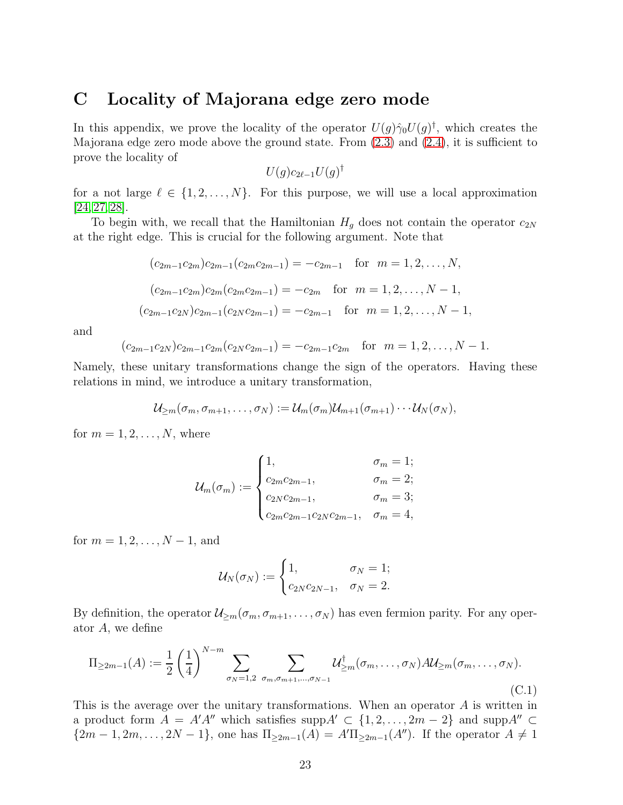### <span id="page-22-0"></span>C Locality of Majorana edge zero mode

In this appendix, we prove the locality of the operator  $U(g)\hat{\gamma}_0U(g)^{\dagger}$ , which creates the Majorana edge zero mode above the ground state. From [\(2.3\)](#page-3-2) and [\(2.4\)](#page-4-2), it is sufficient to prove the locality of

$$
U(g)c_{2\ell-1}U(g)^{\dagger}
$$

for a not large  $\ell \in \{1, 2, ..., N\}$ . For this purpose, we will use a local approximation [\[24,](#page-26-0) [27,](#page-26-3) [28\]](#page-26-4).

To begin with, we recall that the Hamiltonian  $H<sub>q</sub>$  does not contain the operator  $c_{2N}$ at the right edge. This is crucial for the following argument. Note that

$$
(c_{2m-1}c_{2m})c_{2m-1}(c_{2m}c_{2m-1}) = -c_{2m-1} \text{ for } m = 1, 2, ..., N,
$$
  
\n
$$
(c_{2m-1}c_{2m})c_{2m}(c_{2m}c_{2m-1}) = -c_{2m} \text{ for } m = 1, 2, ..., N-1,
$$
  
\n
$$
(c_{2m-1}c_{2N})c_{2m-1}(c_{2N}c_{2m-1}) = -c_{2m-1} \text{ for } m = 1, 2, ..., N-1,
$$

and

$$
(c_{2m-1}c_{2N})c_{2m-1}c_{2m}(c_{2N}c_{2m-1})=-c_{2m-1}c_{2m} \text{ for } m=1,2,\ldots,N-1.
$$

Namely, these unitary transformations change the sign of the operators. Having these relations in mind, we introduce a unitary transformation,

$$
\mathcal{U}_{\geq m}(\sigma_m, \sigma_{m+1}, \ldots, \sigma_N) := \mathcal{U}_m(\sigma_m) \mathcal{U}_{m+1}(\sigma_{m+1}) \cdots \mathcal{U}_N(\sigma_N),
$$

for  $m = 1, 2, \ldots, N$ , where

$$
\mathcal{U}_m(\sigma_m) := \begin{cases} 1, & \sigma_m = 1; \\ c_{2m}c_{2m-1}, & \sigma_m = 2; \\ c_{2N}c_{2m-1}, & \sigma_m = 3; \\ c_{2m}c_{2m-1}c_{2N}c_{2m-1}, & \sigma_m = 4, \end{cases}
$$

for  $m = 1, 2, ..., N - 1$ , and

$$
\mathcal{U}_N(\sigma_N) := \begin{cases} 1, & \sigma_N = 1; \\ c_{2N}c_{2N-1}, & \sigma_N = 2. \end{cases}
$$

By definition, the operator  $\mathcal{U}_{\geq m}(\sigma_m, \sigma_{m+1}, \ldots, \sigma_N)$  has even fermion parity. For any operator A, we define

<span id="page-22-1"></span>
$$
\Pi_{\geq 2m-1}(A) := \frac{1}{2} \left(\frac{1}{4}\right)^{N-m} \sum_{\sigma_N=1,2} \sum_{\sigma_m,\sigma_{m+1},\dots,\sigma_{N-1}} \mathcal{U}_{\geq m}^{\dagger}(\sigma_m,\dots,\sigma_N) A \mathcal{U}_{\geq m}(\sigma_m,\dots,\sigma_N).
$$
\n(C.1)

This is the average over the unitary transformations. When an operator  $A$  is written in a product form  $A = A'A''$  which satisfies supp $A' \subset \{1, 2, ..., 2m-2\}$  and supp $A'' \subset$  ${2m-1, 2m, \ldots, 2N-1},$  one has  $\Pi_{\geq 2m-1}(A) = A'\Pi_{\geq 2m-1}(A'')$ . If the operator  $A \neq 1$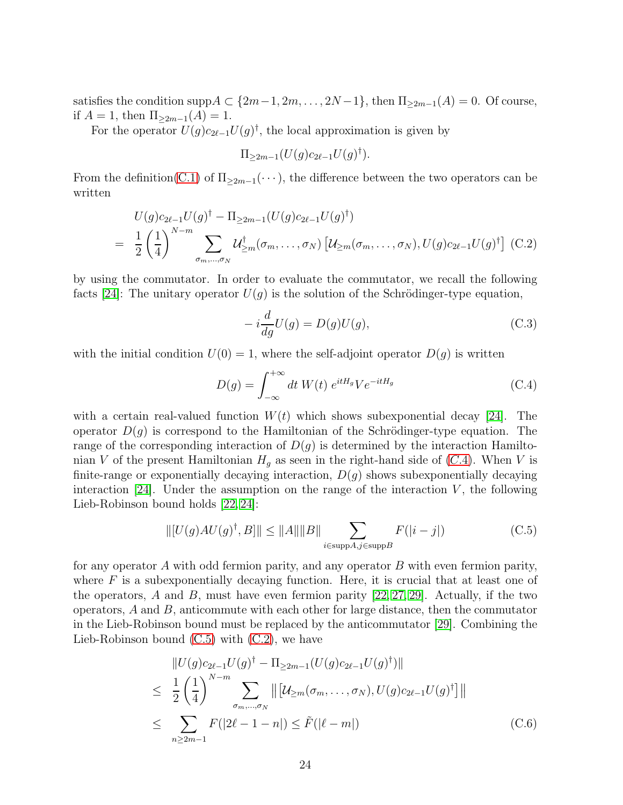satisfies the condition supp $A \subset \{2m-1, 2m, \ldots, 2N-1\}$ , then  $\Pi_{\geq 2m-1}(A) = 0$ . Of course, if  $A = 1$ , then  $\Pi_{\geq 2m-1}(A) = 1$ .

For the operator  $U(g)c_{2\ell-1}U(g)^{\dagger}$ , the local approximation is given by

$$
\Pi_{\geq 2m-1}(U(g)c_{2\ell-1}U(g)^{\dagger}).
$$

From the definition[\(C.1\)](#page-22-1) of  $\Pi_{\geq 2m-1}(\cdots)$ , the difference between the two operators can be written

<span id="page-23-2"></span>
$$
U(g)c_{2\ell-1}U(g)^{\dagger} - \Pi_{\geq 2m-1}(U(g)c_{2\ell-1}U(g)^{\dagger})
$$
  
= 
$$
\frac{1}{2}\left(\frac{1}{4}\right)^{N-m}\sum_{\sigma_{m},\dots,\sigma_{N}}\mathcal{U}^{\dagger}_{\geq m}(\sigma_{m},\dots,\sigma_{N})\left[\mathcal{U}_{\geq m}(\sigma_{m},\dots,\sigma_{N}),U(g)c_{2\ell-1}U(g)^{\dagger}\right]
$$
 (C.2)

by using the commutator. In order to evaluate the commutator, we recall the following facts [\[24\]](#page-26-0): The unitary operator  $U(q)$  is the solution of the Schrödinger-type equation,

$$
-i\frac{d}{dg}U(g) = D(g)U(g),\tag{C.3}
$$

with the initial condition  $U(0) = 1$ , where the self-adjoint operator  $D(q)$  is written

<span id="page-23-0"></span>
$$
D(g) = \int_{-\infty}^{+\infty} dt W(t) e^{itH_g} V e^{-itH_g}
$$
 (C.4)

with a certain real-valued function  $W(t)$  which shows subexponential decay [\[24\]](#page-26-0). The operator  $D(g)$  is correspond to the Hamiltonian of the Schrödinger-type equation. The range of the corresponding interaction of  $D(g)$  is determined by the interaction Hamiltonian V of the present Hamiltonian  $H<sub>g</sub>$  as seen in the right-hand side of ([C.](#page-23-0)4). When V is finite-range or exponentially decaying interaction,  $D(g)$  shows subexponentially decaying interaction  $[24]$ . Under the assumption on the range of the interaction V, the following Lieb-Robinson bound holds [\[22,](#page-25-7) [24\]](#page-26-0):

<span id="page-23-1"></span>
$$
\| [U(g)AU(g)^{\dagger}, B] \| \le \|A\| \|B\| \sum_{i \in \text{supp}A, j \in \text{supp}B} F(|i - j|)
$$
 (C.5)

for any operator A with odd fermion parity, and any operator B with even fermion parity, where  $F$  is a subexponentially decaying function. Here, it is crucial that at least one of the operators, A and B, must have even fermion parity  $[22, 27, 29]$  $[22, 27, 29]$  $[22, 27, 29]$ . Actually, if the two operators,  $A$  and  $B$ , anticommute with each other for large distance, then the commutator in the Lieb-Robinson bound must be replaced by the anticommutator [\[29\]](#page-26-5). Combining the Lieb-Robinson bound [\(C.5\)](#page-23-1) with [\(C.2\)](#page-23-2), we have

<span id="page-23-3"></span>
$$
\|U(g)c_{2\ell-1}U(g)^{\dagger} - \Pi_{\geq 2m-1}(U(g)c_{2\ell-1}U(g)^{\dagger})\|
$$
\n
$$
\leq \frac{1}{2} \left(\frac{1}{4}\right)^{N-m} \sum_{\sigma_{m,\dots,\sigma_N}} \left\| \left[\mathcal{U}_{\geq m}(\sigma_m, \dots, \sigma_N), U(g)c_{2\ell-1}U(g)^{\dagger}\right] \right\|
$$
\n
$$
\leq \sum_{n\geq 2m-1} F(|2\ell-1-n|) \leq \tilde{F}(|\ell-m|) \tag{C.6}
$$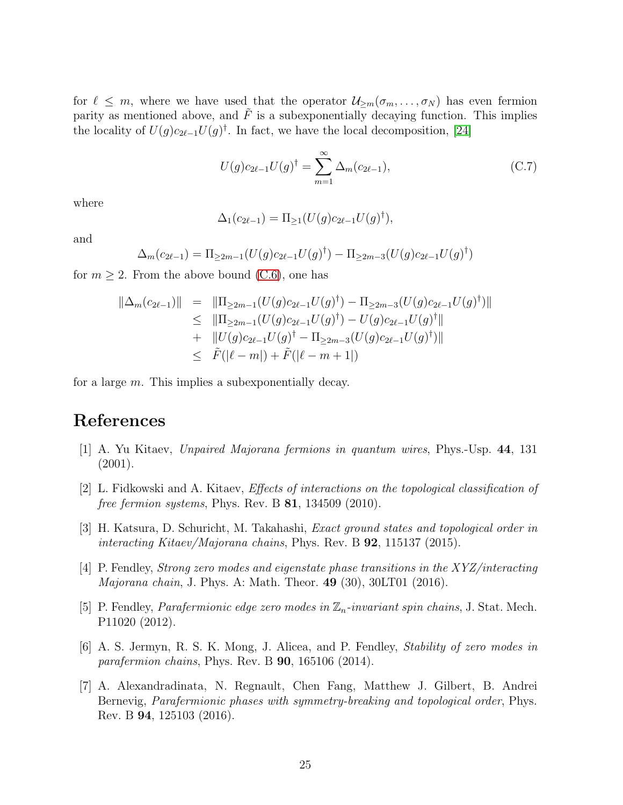for  $\ell \leq m$ , where we have used that the operator  $\mathcal{U}_{\geq m}(\sigma_m,\ldots,\sigma_N)$  has even fermion parity as mentioned above, and  $\tilde{F}$  is a subexponentially decaying function. This implies the locality of  $U(g)c_{2\ell-1}U(g)^{\dagger}$ . In fact, we have the local decomposition, [\[24\]](#page-26-0)

$$
U(g)c_{2\ell-1}U(g)^{\dagger} = \sum_{m=1}^{\infty} \Delta_m(c_{2\ell-1}),
$$
\n(C.7)

where

$$
\Delta_1(c_{2\ell-1}) = \Pi_{\geq 1}(U(g)c_{2\ell-1}U(g)^{\dagger}),
$$

and

$$
\Delta_m(c_{2\ell-1}) = \Pi_{\geq 2m-1}(U(g)c_{2\ell-1}U(g)^{\dagger}) - \Pi_{\geq 2m-3}(U(g)c_{2\ell-1}U(g)^{\dagger})
$$

for  $m \geq 2$ . From the above bound [\(C.6\)](#page-23-3), one has

$$
\|\Delta_m(c_{2\ell-1})\| = \|\Pi_{\geq 2m-1}(U(g)c_{2\ell-1}U(g)^{\dagger}) - \Pi_{\geq 2m-3}(U(g)c_{2\ell-1}U(g)^{\dagger})\|
$$
  
\n
$$
\leq \|\Pi_{\geq 2m-1}(U(g)c_{2\ell-1}U(g)^{\dagger}) - U(g)c_{2\ell-1}U(g)^{\dagger}\|
$$
  
\n
$$
+ \|U(g)c_{2\ell-1}U(g)^{\dagger} - \Pi_{\geq 2m-3}(U(g)c_{2\ell-1}U(g)^{\dagger})\|
$$
  
\n
$$
\leq \tilde{F}(|\ell - m|) + \tilde{F}(|\ell - m + 1|)
$$

for a large m. This implies a subexponentially decay.

## <span id="page-24-0"></span>References

- <span id="page-24-1"></span>[1] A. Yu Kitaev, Unpaired Majorana fermions in quantum wires, Phys.-Usp. 44, 131 (2001).
- <span id="page-24-2"></span>[2] L. Fidkowski and A. Kitaev, Effects of interactions on the topological classification of free fermion systems, Phys. Rev. B  $81$ , 134509 (2010).
- [3] H. Katsura, D. Schuricht, M. Takahashi, Exact ground states and topological order in interacting Kitaev/Majorana chains, Phys. Rev. B 92, 115137 (2015).
- <span id="page-24-3"></span>[4] P. Fendley, Strong zero modes and eigenstate phase transitions in the XYZ/interacting Majorana chain, J. Phys. A: Math. Theor. 49 (30), 30LT01 (2016).
- <span id="page-24-4"></span>[5] P. Fendley, *Parafermionic edge zero modes in*  $\mathbb{Z}_n$ -*invariant spin chains*, J. Stat. Mech. P11020 (2012).
- [6] A. S. Jermyn, R. S. K. Mong, J. Alicea, and P. Fendley, Stability of zero modes in parafermion chains, Phys. Rev. B **90**, 165106 (2014).
- <span id="page-24-5"></span>[7] A. Alexandradinata, N. Regnault, Chen Fang, Matthew J. Gilbert, B. Andrei Bernevig, Parafermionic phases with symmetry-breaking and topological order, Phys. Rev. B 94, 125103 (2016).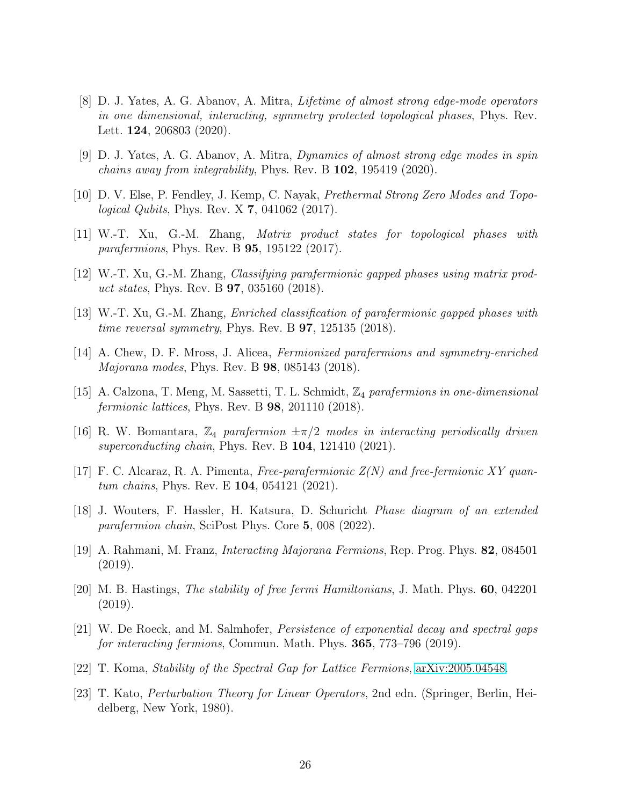- <span id="page-25-0"></span>[8] D. J. Yates, A. G. Abanov, A. Mitra, Lifetime of almost strong edge-mode operators in one dimensional, interacting, symmetry protected topological phases, Phys. Rev. Lett. **124**, 206803 (2020).
- <span id="page-25-2"></span><span id="page-25-1"></span>[9] D. J. Yates, A. G. Abanov, A. Mitra, Dynamics of almost strong edge modes in spin chains away from integrability, Phys. Rev. B 102, 195419 (2020).
- <span id="page-25-3"></span>[10] D. V. Else, P. Fendley, J. Kemp, C. Nayak, Prethermal Strong Zero Modes and Topological Qubits, Phys. Rev. X 7, 041062 (2017).
- [11] W.-T. Xu, G.-M. Zhang, Matrix product states for topological phases with parafermions, Phys. Rev. B 95, 195122 (2017).
- [12] W.-T. Xu, G.-M. Zhang, Classifying parafermionic gapped phases using matrix product states, Phys. Rev. B 97, 035160 (2018).
- [13] W.-T. Xu, G.-M. Zhang, Enriched classification of parafermionic gapped phases with *time reversal symmetry*, Phys. Rev. B  $97$ , 125135 (2018).
- [14] A. Chew, D. F. Mross, J. Alicea, Fermionized parafermions and symmetry-enriched Majorana modes, Phys. Rev. B 98, 085143 (2018).
- [15] A. Calzona, T. Meng, M. Sassetti, T. L. Schmidt, Z<sup>4</sup> parafermions in one-dimensional fermionic lattices, Phys. Rev. B 98, 201110 (2018).
- [16] R. W. Bomantara,  $\mathbb{Z}_4$  parafermion  $\pm \pi/2$  modes in interacting periodically driven superconducting chain, Phys. Rev. B **104**, 121410 (2021).
- [17] F. C. Alcaraz, R. A. Pimenta, Free-parafermionic  $Z(N)$  and free-fermionic XY quantum chains, Phys. Rev. E 104, 054121 (2021).
- <span id="page-25-4"></span>[18] J. Wouters, F. Hassler, H. Katsura, D. Schuricht Phase diagram of an extended parafermion chain, SciPost Phys. Core 5, 008 (2022).
- <span id="page-25-5"></span>[19] A. Rahmani, M. Franz, Interacting Majorana Fermions, Rep. Prog. Phys. 82, 084501 (2019).
- <span id="page-25-6"></span>[20] M. B. Hastings, The stability of free fermi Hamiltonians, J. Math. Phys. 60, 042201 (2019).
- <span id="page-25-9"></span>[21] W. De Roeck, and M. Salmhofer, Persistence of exponential decay and spectral gaps for interacting fermions, Commun. Math. Phys. **365**, 773–796 (2019).
- <span id="page-25-8"></span><span id="page-25-7"></span>[22] T. Koma, Stability of the Spectral Gap for Lattice Fermions, [arXiv:2005.04548.](http://arxiv.org/abs/2005.04548)
- [23] T. Kato, Perturbation Theory for Linear Operators, 2nd edn. (Springer, Berlin, Heidelberg, New York, 1980).